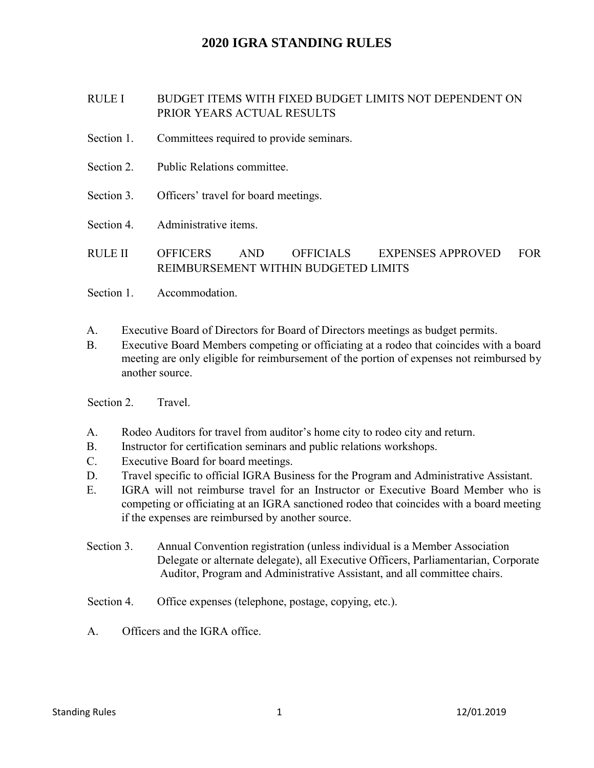## RULE I BUDGET ITEMS WITH FIXED BUDGET LIMITS NOT DEPENDENT ON PRIOR YEARS ACTUAL RESULTS

- Section 1. Committees required to provide seminars.
- Section 2. Public Relations committee.
- Section 3. Officers' travel for board meetings.
- Section 4. Administrative items.
- RULE II OFFICERS AND OFFICIALS REIMBURSEMENT WITHIN BUDGETED LIMITS EXPENSES APPROVED FOR
- Section 1. Accommodation.
- A. Executive Board of Directors for Board of Directors meetings as budget permits.
- B. Executive Board Members competing or officiating at a rodeo that coincides with a board meeting are only eligible for reimbursement of the portion of expenses not reimbursed by another source.

Section 2. Travel.

- A. Rodeo Auditors for travel from auditor's home city to rodeo city and return.
- B. Instructor for certification seminars and public relations workshops.
- C. Executive Board for board meetings.
- D. Travel specific to official IGRA Business for the Program and Administrative Assistant.
- E. IGRA will not reimburse travel for an Instructor or Executive Board Member who is competing or officiating at an IGRA sanctioned rodeo that coincides with a board meeting if the expenses are reimbursed by another source.
- Section 3. Annual Convention registration (unless individual is a Member Association Delegate or alternate delegate), all Executive Officers, Parliamentarian, Corporate Auditor, Program and Administrative Assistant, and all committee chairs.
- Section 4. Office expenses (telephone, postage, copying, etc.).
- A. Officers and the IGRA office.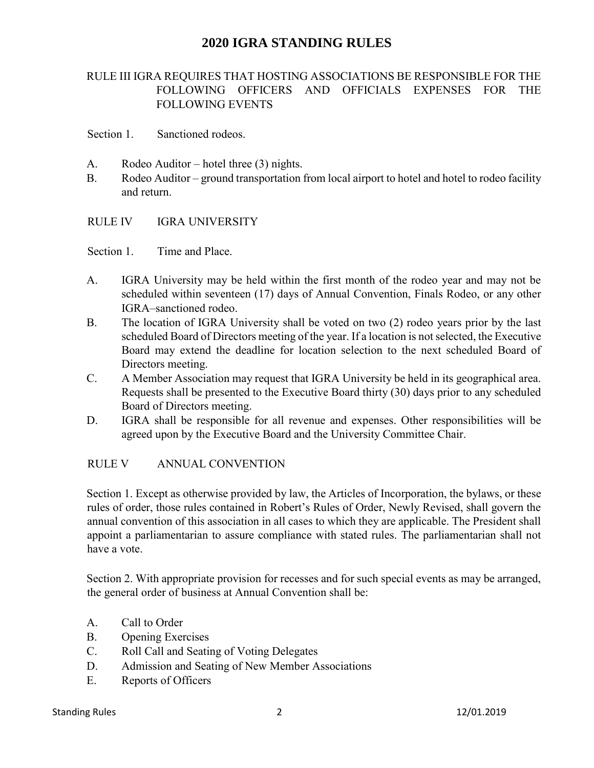## RULE III IGRA REQUIRES THAT HOSTING ASSOCIATIONS BE RESPONSIBLE FOR THE FOLLOWING OFFICERS AND OFFICIALS EXPENSES FOR THE FOLLOWING EVENTS

Section 1. Sanctioned rodeos.

- A. Rodeo Auditor hotel three (3) nights.
- B. Rodeo Auditor ground transportation from local airport to hotel and hotel to rodeo facility and return.
- RULE IV **IGRA UNIVERSITY**

Section 1. Time and Place.

- A. IGRA University may be held within the first month of the rodeo year and may not be scheduled within seventeen (17) days of Annual Convention, Finals Rodeo, or any other IGRA–sanctioned rodeo.
- B. The location of IGRA University shall be voted on two (2) rodeo years prior by the last scheduled Board of Directors meeting of the year. If a location is not selected, the Executive Board may extend the deadline for location selection to the next scheduled Board of Directors meeting.
- C. A Member Association may request that IGRA University be held in its geographical area. Requests shall be presented to the Executive Board thirty (30) days prior to any scheduled Board of Directors meeting.
- D. IGRA shall be responsible for all revenue and expenses. Other responsibilities will be agreed upon by the Executive Board and the University Committee Chair.

### RULE V ANNUAL CONVENTION

Section 1. Except as otherwise provided by law, the Articles of Incorporation, the bylaws, or these rules of order, those rules contained in Robert's Rules of Order, Newly Revised, shall govern the annual convention of this association in all cases to which they are applicable. The President shall appoint a parliamentarian to assure compliance with stated rules. The parliamentarian shall not have a vote.

Section 2. With appropriate provision for recesses and for such special events as may be arranged, the general order of business at Annual Convention shall be:

- A. Call to Order
- B. Opening Exercises
- C. Roll Call and Seating of Voting Delegates
- D. Admission and Seating of New Member Associations
- E. Reports of Officers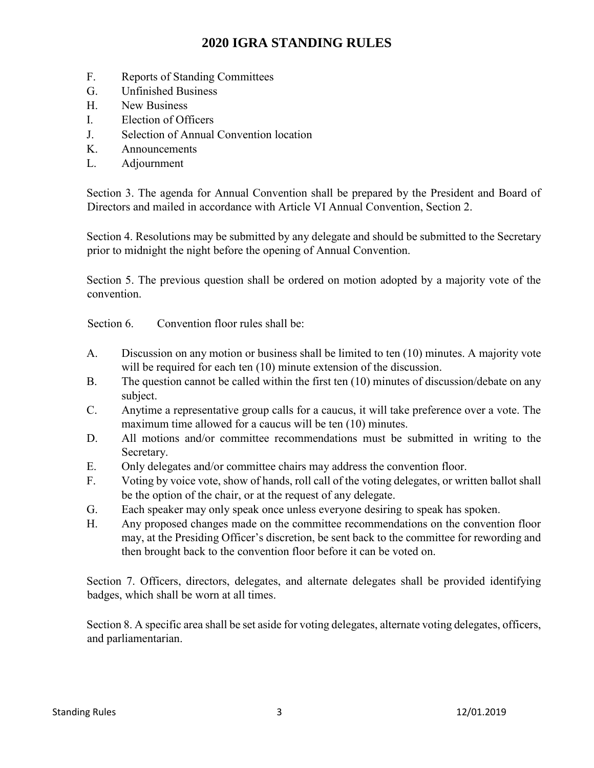- F. Reports of Standing Committees
- G. Unfinished Business
- H. New Business
- I. Election of Officers
- J. Selection of Annual Convention location
- K. Announcements
- L. Adjournment

Section 3. The agenda for Annual Convention shall be prepared by the President and Board of Directors and mailed in accordance with Article VI Annual Convention, Section 2.

Section 4. Resolutions may be submitted by any delegate and should be submitted to the Secretary prior to midnight the night before the opening of Annual Convention.

Section 5. The previous question shall be ordered on motion adopted by a majority vote of the convention.

Section 6. Convention floor rules shall be:

- A. Discussion on any motion or business shall be limited to ten (10) minutes. A majority vote will be required for each ten (10) minute extension of the discussion.
- B. The question cannot be called within the first ten (10) minutes of discussion/debate on any subject.
- C. Anytime a representative group calls for a caucus, it will take preference over a vote. The maximum time allowed for a caucus will be ten (10) minutes.
- D. All motions and/or committee recommendations must be submitted in writing to the Secretary.
- E. Only delegates and/or committee chairs may address the convention floor.
- F. Voting by voice vote, show of hands, roll call of the voting delegates, or written ballot shall be the option of the chair, or at the request of any delegate.
- G. Each speaker may only speak once unless everyone desiring to speak has spoken.
- H. Any proposed changes made on the committee recommendations on the convention floor may, at the Presiding Officer's discretion, be sent back to the committee for rewording and then brought back to the convention floor before it can be voted on.

Section 7. Officers, directors, delegates, and alternate delegates shall be provided identifying badges, which shall be worn at all times.

Section 8. A specific area shall be set aside for voting delegates, alternate voting delegates, officers, and parliamentarian.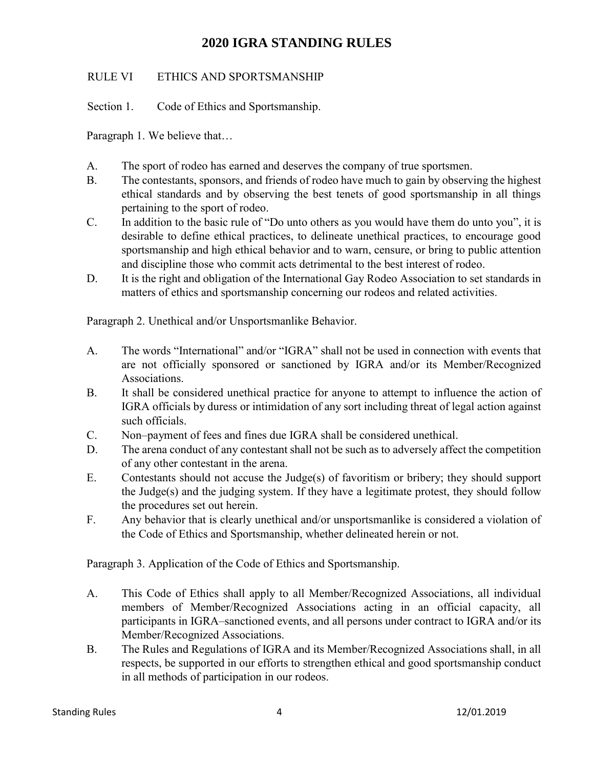## RULE VI ETHICS AND SPORTSMANSHIP

Section 1. Code of Ethics and Sportsmanship.

Paragraph 1. We believe that…

- A. The sport of rodeo has earned and deserves the company of true sportsmen.
- B. The contestants, sponsors, and friends of rodeo have much to gain by observing the highest ethical standards and by observing the best tenets of good sportsmanship in all things pertaining to the sport of rodeo.
- C. In addition to the basic rule of "Do unto others as you would have them do unto you", it is desirable to define ethical practices, to delineate unethical practices, to encourage good sportsmanship and high ethical behavior and to warn, censure, or bring to public attention and discipline those who commit acts detrimental to the best interest of rodeo.
- D. It is the right and obligation of the International Gay Rodeo Association to set standards in matters of ethics and sportsmanship concerning our rodeos and related activities.

Paragraph 2. Unethical and/or Unsportsmanlike Behavior.

- A. The words "International" and/or "IGRA" shall not be used in connection with events that are not officially sponsored or sanctioned by IGRA and/or its Member/Recognized Associations.
- B. It shall be considered unethical practice for anyone to attempt to influence the action of IGRA officials by duress or intimidation of any sort including threat of legal action against such officials.
- C. Non–payment of fees and fines due IGRA shall be considered unethical.
- D. The arena conduct of any contestant shall not be such as to adversely affect the competition of any other contestant in the arena.
- E. Contestants should not accuse the Judge(s) of favoritism or bribery; they should support the Judge(s) and the judging system. If they have a legitimate protest, they should follow the procedures set out herein.
- F. Any behavior that is clearly unethical and/or unsportsmanlike is considered a violation of the Code of Ethics and Sportsmanship, whether delineated herein or not.

Paragraph 3. Application of the Code of Ethics and Sportsmanship.

- A. This Code of Ethics shall apply to all Member/Recognized Associations, all individual members of Member/Recognized Associations acting in an official capacity, all participants in IGRA–sanctioned events, and all persons under contract to IGRA and/or its Member/Recognized Associations.
- B. The Rules and Regulations of IGRA and its Member/Recognized Associations shall, in all respects, be supported in our efforts to strengthen ethical and good sportsmanship conduct in all methods of participation in our rodeos.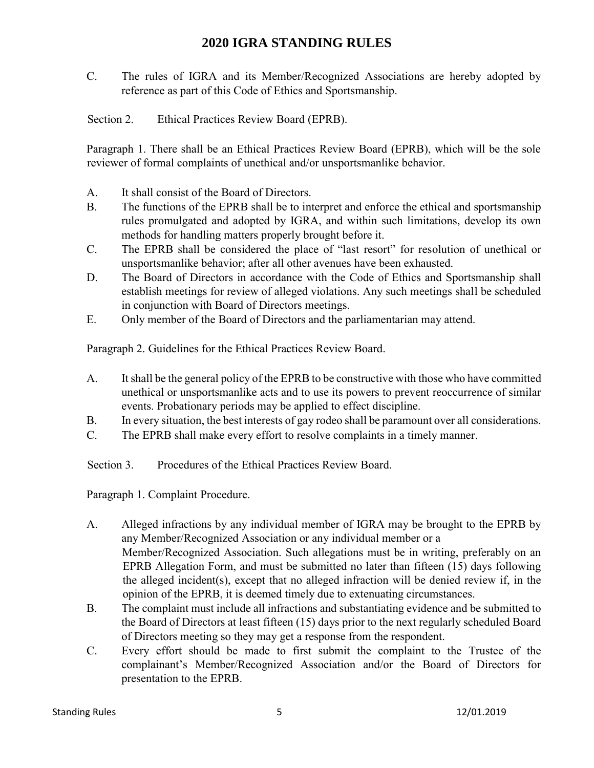- C. The rules of IGRA and its Member/Recognized Associations are hereby adopted by reference as part of this Code of Ethics and Sportsmanship.
- Section 2. Ethical Practices Review Board (EPRB).

Paragraph 1. There shall be an Ethical Practices Review Board (EPRB), which will be the sole reviewer of formal complaints of unethical and/or unsportsmanlike behavior.

- A. It shall consist of the Board of Directors.
- B. The functions of the EPRB shall be to interpret and enforce the ethical and sportsmanship rules promulgated and adopted by IGRA, and within such limitations, develop its own methods for handling matters properly brought before it.
- C. The EPRB shall be considered the place of "last resort" for resolution of unethical or unsportsmanlike behavior; after all other avenues have been exhausted.
- D. The Board of Directors in accordance with the Code of Ethics and Sportsmanship shall establish meetings for review of alleged violations. Any such meetings shall be scheduled in conjunction with Board of Directors meetings.
- E. Only member of the Board of Directors and the parliamentarian may attend.

Paragraph 2. Guidelines for the Ethical Practices Review Board.

- A. It shall be the general policy of the EPRB to be constructive with those who have committed unethical or unsportsmanlike acts and to use its powers to prevent reoccurrence of similar events. Probationary periods may be applied to effect discipline.
- B. In every situation, the best interests of gay rodeo shall be paramount over all considerations.
- C. The EPRB shall make every effort to resolve complaints in a timely manner.

Section 3. Procedures of the Ethical Practices Review Board.

Paragraph 1. Complaint Procedure.

- A. Alleged infractions by any individual member of IGRA may be brought to the EPRB by any Member/Recognized Association or any individual member or a Member/Recognized Association. Such allegations must be in writing, preferably on an EPRB Allegation Form, and must be submitted no later than fifteen (15) days following the alleged incident(s), except that no alleged infraction will be denied review if, in the opinion of the EPRB, it is deemed timely due to extenuating circumstances.
- B. The complaint must include all infractions and substantiating evidence and be submitted to the Board of Directors at least fifteen (15) days prior to the next regularly scheduled Board of Directors meeting so they may get a response from the respondent.
- C. Every effort should be made to first submit the complaint to the Trustee of the complainant's Member/Recognized Association and/or the Board of Directors for presentation to the EPRB.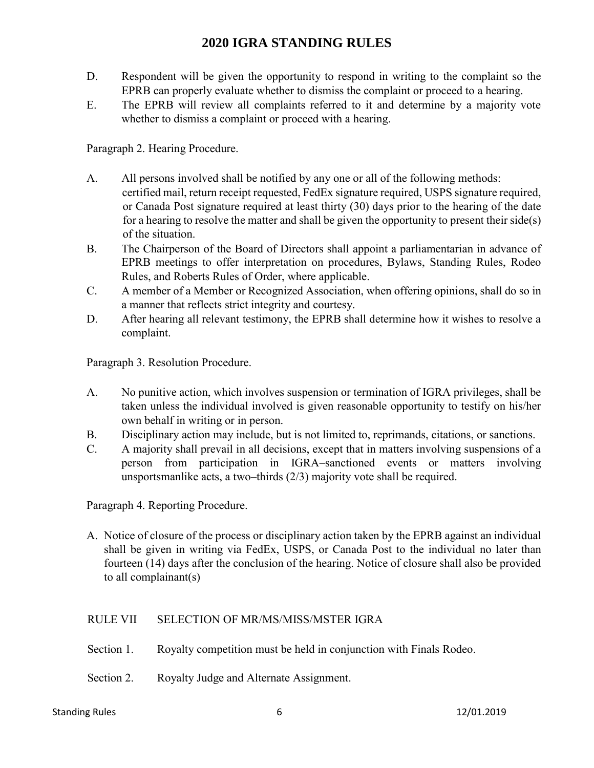- D. Respondent will be given the opportunity to respond in writing to the complaint so the EPRB can properly evaluate whether to dismiss the complaint or proceed to a hearing.
- E. The EPRB will review all complaints referred to it and determine by a majority vote whether to dismiss a complaint or proceed with a hearing.

Paragraph 2. Hearing Procedure.

- A. All persons involved shall be notified by any one or all of the following methods: certified mail, return receipt requested, FedEx signature required, USPS signature required, or Canada Post signature required at least thirty (30) days prior to the hearing of the date for a hearing to resolve the matter and shall be given the opportunity to present their side(s) of the situation.
- B. The Chairperson of the Board of Directors shall appoint a parliamentarian in advance of EPRB meetings to offer interpretation on procedures, Bylaws, Standing Rules, Rodeo Rules, and Roberts Rules of Order, where applicable.
- C. A member of a Member or Recognized Association, when offering opinions, shall do so in a manner that reflects strict integrity and courtesy.
- D. After hearing all relevant testimony, the EPRB shall determine how it wishes to resolve a complaint.

Paragraph 3. Resolution Procedure.

- A. No punitive action, which involves suspension or termination of IGRA privileges, shall be taken unless the individual involved is given reasonable opportunity to testify on his/her own behalf in writing or in person.
- B. Disciplinary action may include, but is not limited to, reprimands, citations, or sanctions.
- C. A majority shall prevail in all decisions, except that in matters involving suspensions of a person from participation in IGRA–sanctioned events or matters involving unsportsmanlike acts, a two–thirds (2/3) majority vote shall be required.

Paragraph 4. Reporting Procedure.

A. Notice of closure of the process or disciplinary action taken by the EPRB against an individual shall be given in writing via FedEx, USPS, or Canada Post to the individual no later than fourteen (14) days after the conclusion of the hearing. Notice of closure shall also be provided to all complainant(s)

### RULE VII SELECTION OF MR/MS/MISS/MSTER IGRA

- Section 1. Royalty competition must be held in conjunction with Finals Rodeo.
- Section 2. Royalty Judge and Alternate Assignment.

#### Standing Rules 6 12/01.2019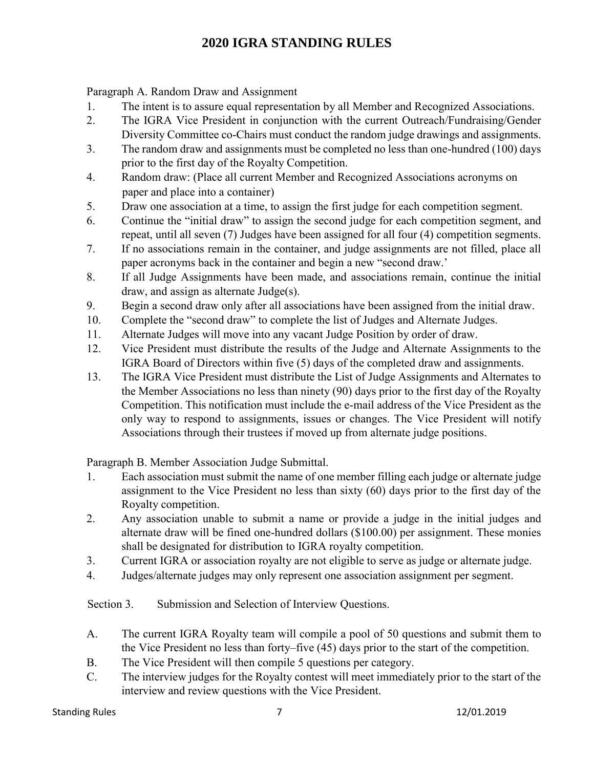Paragraph A. Random Draw and Assignment

- 1. The intent is to assure equal representation by all Member and Recognized Associations.
- 2. The IGRA Vice President in conjunction with the current Outreach/Fundraising/Gender Diversity Committee co-Chairs must conduct the random judge drawings and assignments.
- 3. The random draw and assignments must be completed no less than one-hundred (100) days prior to the first day of the Royalty Competition.
- 4. Random draw: (Place all current Member and Recognized Associations acronyms on paper and place into a container)
- 5. Draw one association at a time, to assign the first judge for each competition segment.
- 6. Continue the "initial draw" to assign the second judge for each competition segment, and repeat, until all seven (7) Judges have been assigned for all four (4) competition segments.
- 7. If no associations remain in the container, and judge assignments are not filled, place all paper acronyms back in the container and begin a new "second draw.'
- 8. If all Judge Assignments have been made, and associations remain, continue the initial draw, and assign as alternate Judge(s).
- 9. Begin a second draw only after all associations have been assigned from the initial draw.
- 10. Complete the "second draw" to complete the list of Judges and Alternate Judges.
- 11. Alternate Judges will move into any vacant Judge Position by order of draw.
- 12. Vice President must distribute the results of the Judge and Alternate Assignments to the IGRA Board of Directors within five (5) days of the completed draw and assignments.
- 13. The IGRA Vice President must distribute the List of Judge Assignments and Alternates to the Member Associations no less than ninety (90) days prior to the first day of the Royalty Competition. This notification must include the e-mail address of the Vice President as the only way to respond to assignments, issues or changes. The Vice President will notify Associations through their trustees if moved up from alternate judge positions.

Paragraph B. Member Association Judge Submittal.

- 1. Each association must submit the name of one member filling each judge or alternate judge assignment to the Vice President no less than sixty (60) days prior to the first day of the Royalty competition.
- 2. Any association unable to submit a name or provide a judge in the initial judges and alternate draw will be fined one-hundred dollars (\$100.00) per assignment. These monies shall be designated for distribution to IGRA royalty competition.
- 3. Current IGRA or association royalty are not eligible to serve as judge or alternate judge.
- 4. Judges/alternate judges may only represent one association assignment per segment.

Section 3. Submission and Selection of Interview Questions.

- A. The current IGRA Royalty team will compile a pool of 50 questions and submit them to the Vice President no less than forty–five (45) days prior to the start of the competition.
- B. The Vice President will then compile 5 questions per category.
- C. The interview judges for the Royalty contest will meet immediately prior to the start of the interview and review questions with the Vice President.

#### Standing Rules **12/01.2019 12/01.2019**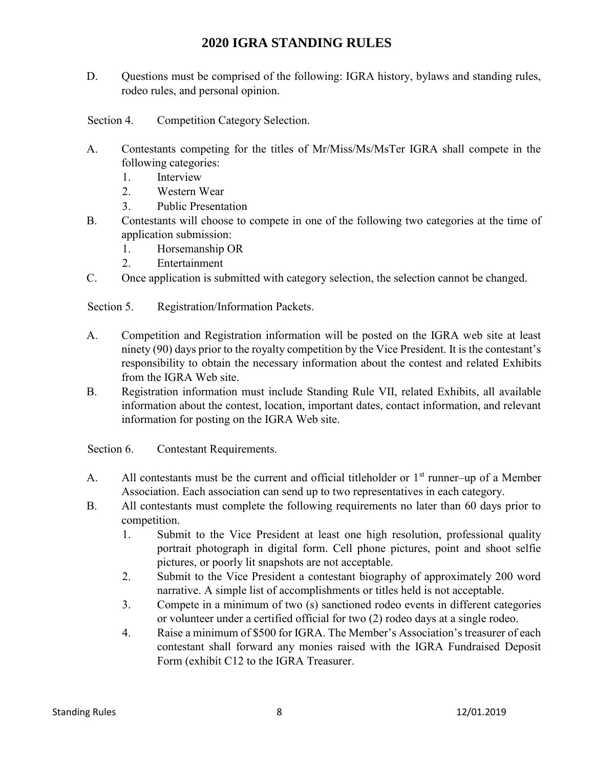- D. Ouestions must be comprised of the following: IGRA history, bylaws and standing rules, rodeo rules, and personal opinion.
- Section 4. Competition Category Selection.
- A. Contestants competing for the titles of Mr/Miss/Ms/MsTer IGRA shall compete in the following categories:
	- 1. Interview
	- 2. Western Wear
	- 3. Public Presentation
- B. Contestants will choose to compete in one of the following two categories at the time of application submission:
	- 1. Horsemanship OR
	- 2. Entertainment
- C. Once application is submitted with category selection, the selection cannot be changed.

Section 5. Registration/Information Packets.

- A. Competition and Registration information will be posted on the IGRA web site at least ninety (90) days prior to the royalty competition by the Vice President. It is the contestant's responsibility to obtain the necessary information about the contest and related Exhibits from the IGRA Web site.
- B. Registration information must include Standing Rule VII, related Exhibits, all available information about the contest, location, important dates, contact information, and relevant information for posting on the IGRA Web site.

Section 6. Contestant Requirements.

- A. All contestants must be the current and official titleholder or  $1<sup>st</sup>$  runner–up of a Member Association. Each association can send up to two representatives in each category.
- B. All contestants must complete the following requirements no later than 60 days prior to competition.
	- 1. Submit to the Vice President at least one high resolution, professional quality portrait photograph in digital form. Cell phone pictures, point and shoot selfie pictures, or poorly lit snapshots are not acceptable.
	- 2. Submit to the Vice President a contestant biography of approximately 200 word narrative. A simple list of accomplishments or titles held is not acceptable.
	- 3. Compete in a minimum of two (s) sanctioned rodeo events in different categories or volunteer under a certified official for two (2) rodeo days at a single rodeo.
	- 4. Raise a minimum of \$500 for IGRA. The Member's Association's treasurer of each contestant shall forward any monies raised with the IGRA Fundraised Deposit Form (exhibit C12 to the IGRA Treasurer.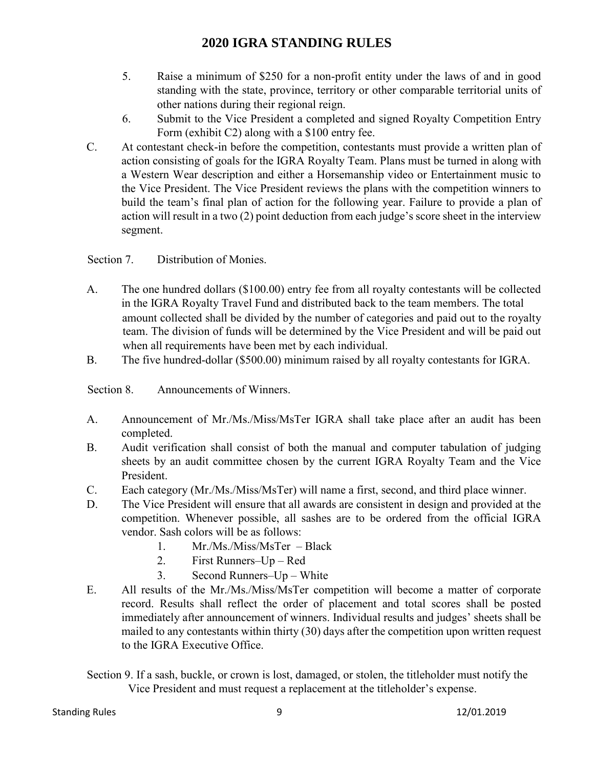- 5. Raise a minimum of \$250 for a non-profit entity under the laws of and in good standing with the state, province, territory or other comparable territorial units of other nations during their regional reign.
- 6. Submit to the Vice President a completed and signed Royalty Competition Entry Form (exhibit C2) along with a \$100 entry fee.
- C. At contestant check-in before the competition, contestants must provide a written plan of action consisting of goals for the IGRA Royalty Team. Plans must be turned in along with a Western Wear description and either a Horsemanship video or Entertainment music to the Vice President. The Vice President reviews the plans with the competition winners to build the team's final plan of action for the following year. Failure to provide a plan of action will result in a two (2) point deduction from each judge's score sheet in the interview segment.

## Section 7. Distribution of Monies.

- A. The one hundred dollars (\$100.00) entry fee from all royalty contestants will be collected in the IGRA Royalty Travel Fund and distributed back to the team members. The total amount collected shall be divided by the number of categories and paid out to the royalty team. The division of funds will be determined by the Vice President and will be paid out when all requirements have been met by each individual.
- B. The five hundred-dollar (\$500.00) minimum raised by all royalty contestants for IGRA.

Section 8. Announcements of Winners.

- A. Announcement of Mr./Ms./Miss/MsTer IGRA shall take place after an audit has been completed.
- B. Audit verification shall consist of both the manual and computer tabulation of judging sheets by an audit committee chosen by the current IGRA Royalty Team and the Vice President.
- C. Each category (Mr./Ms./Miss/MsTer) will name a first, second, and third place winner.
- D. The Vice President will ensure that all awards are consistent in design and provided at the competition. Whenever possible, all sashes are to be ordered from the official IGRA vendor. Sash colors will be as follows:
	- 1. Mr./Ms./Miss/MsTer Black
	- 2. First Runners–Up Red
	- 3. Second Runners–Up White
- E. All results of the Mr./Ms./Miss/MsTer competition will become a matter of corporate record. Results shall reflect the order of placement and total scores shall be posted immediately after announcement of winners. Individual results and judges' sheets shall be mailed to any contestants within thirty (30) days after the competition upon written request to the IGRA Executive Office.
- Section 9. If a sash, buckle, or crown is lost, damaged, or stolen, the titleholder must notify the Vice President and must request a replacement at the titleholder's expense.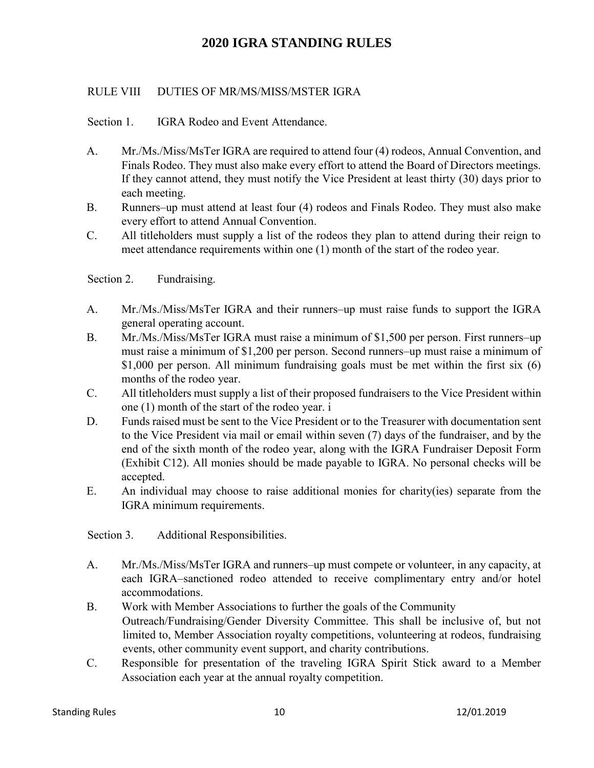### RULE VIII DUTIES OF MR/MS/MISS/MSTER IGRA

Section 1. **IGRA Rodeo and Event Attendance.** 

- A. Mr./Ms./Miss/MsTer IGRA are required to attend four (4) rodeos, Annual Convention, and Finals Rodeo. They must also make every effort to attend the Board of Directors meetings. If they cannot attend, they must notify the Vice President at least thirty (30) days prior to each meeting.
- B. Runners–up must attend at least four (4) rodeos and Finals Rodeo. They must also make every effort to attend Annual Convention.
- C. All titleholders must supply a list of the rodeos they plan to attend during their reign to meet attendance requirements within one (1) month of the start of the rodeo year.

Section 2. Fundraising.

- A. Mr./Ms./Miss/MsTer IGRA and their runners–up must raise funds to support the IGRA general operating account.
- B. Mr./Ms./Miss/MsTer IGRA must raise a minimum of \$1,500 per person. First runners–up must raise a minimum of \$1,200 per person. Second runners–up must raise a minimum of \$1,000 per person. All minimum fundraising goals must be met within the first six (6) months of the rodeo year.
- C. All titleholders must supply a list of their proposed fundraisers to the Vice President within one (1) month of the start of the rodeo year. i
- D. Funds raised must be sent to the Vice President or to the Treasurer with documentation sent to the Vice President via mail or email within seven (7) days of the fundraiser, and by the end of the sixth month of the rodeo year, along with the IGRA Fundraiser Deposit Form (Exhibit C12). All monies should be made payable to IGRA. No personal checks will be accepted.
- E. An individual may choose to raise additional monies for charity(ies) separate from the IGRA minimum requirements.

Section 3. Additional Responsibilities.

- A. Mr./Ms./Miss/MsTer IGRA and runners–up must compete or volunteer, in any capacity, at each IGRA–sanctioned rodeo attended to receive complimentary entry and/or hotel accommodations.
- B. Work with Member Associations to further the goals of the Community Outreach/Fundraising/Gender Diversity Committee. This shall be inclusive of, but not limited to, Member Association royalty competitions, volunteering at rodeos, fundraising events, other community event support, and charity contributions.
- C. Responsible for presentation of the traveling IGRA Spirit Stick award to a Member Association each year at the annual royalty competition.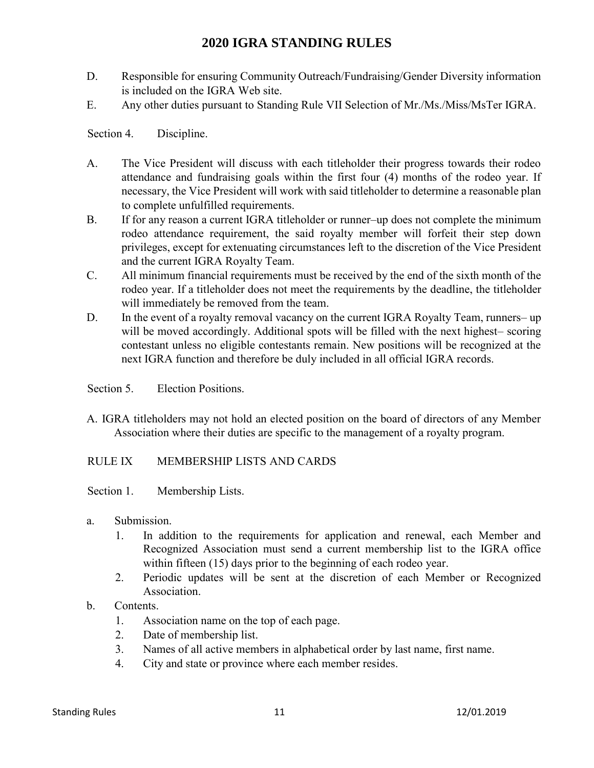- D. Responsible for ensuring Community Outreach/Fundraising/Gender Diversity information is included on the IGRA Web site.
- E. Any other duties pursuant to Standing Rule VII Selection of Mr./Ms./Miss/MsTer IGRA.

Section 4. Discipline.

- A. The Vice President will discuss with each titleholder their progress towards their rodeo attendance and fundraising goals within the first four (4) months of the rodeo year. If necessary, the Vice President will work with said titleholder to determine a reasonable plan to complete unfulfilled requirements.
- B. If for any reason a current IGRA titleholder or runner–up does not complete the minimum rodeo attendance requirement, the said royalty member will forfeit their step down privileges, except for extenuating circumstances left to the discretion of the Vice President and the current IGRA Royalty Team.
- C. All minimum financial requirements must be received by the end of the sixth month of the rodeo year. If a titleholder does not meet the requirements by the deadline, the titleholder will immediately be removed from the team.
- D. In the event of a royalty removal vacancy on the current IGRA Royalty Team, runners– up will be moved accordingly. Additional spots will be filled with the next highest– scoring contestant unless no eligible contestants remain. New positions will be recognized at the next IGRA function and therefore be duly included in all official IGRA records.
- Section 5. Election Positions.
- A. IGRA titleholders may not hold an elected position on the board of directors of any Member Association where their duties are specific to the management of a royalty program.

### RULE IX MEMBERSHIP LISTS AND CARDS

- Section 1. Membership Lists.
- a. Submission.
	- 1. In addition to the requirements for application and renewal, each Member and Recognized Association must send a current membership list to the IGRA office within fifteen (15) days prior to the beginning of each rodeo year.
	- 2. Periodic updates will be sent at the discretion of each Member or Recognized Association.
- b. Contents.
	- 1. Association name on the top of each page.
	- 2. Date of membership list.
	- 3. Names of all active members in alphabetical order by last name, first name.
	- 4. City and state or province where each member resides.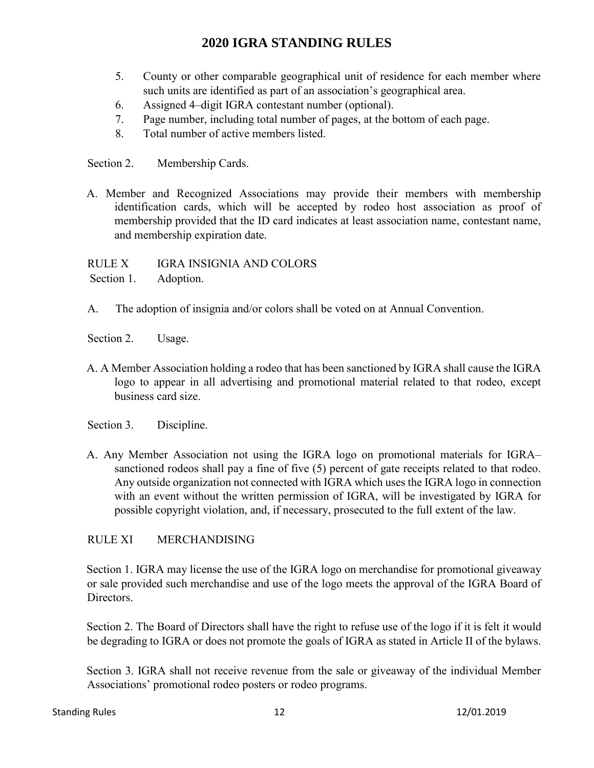- 5. County or other comparable geographical unit of residence for each member where such units are identified as part of an association's geographical area.
- 6. Assigned 4–digit IGRA contestant number (optional).
- 7. Page number, including total number of pages, at the bottom of each page.
- 8. Total number of active members listed.

Section 2. Membership Cards.

A. Member and Recognized Associations may provide their members with membership identification cards, which will be accepted by rodeo host association as proof of membership provided that the ID card indicates at least association name, contestant name, and membership expiration date.

RULE X IGRA INSIGNIA AND COLORS Section 1. Adoption.

- A. The adoption of insignia and/or colors shall be voted on at Annual Convention.
- Section 2. Usage.
- A. A Member Association holding a rodeo that has been sanctioned by IGRA shall cause the IGRA logo to appear in all advertising and promotional material related to that rodeo, except business card size.
- Section 3. Discipline.
- A. Any Member Association not using the IGRA logo on promotional materials for IGRA– sanctioned rodeos shall pay a fine of five (5) percent of gate receipts related to that rodeo. Any outside organization not connected with IGRA which uses the IGRA logo in connection with an event without the written permission of IGRA, will be investigated by IGRA for possible copyright violation, and, if necessary, prosecuted to the full extent of the law.

### RULE XI MERCHANDISING

Section 1. IGRA may license the use of the IGRA logo on merchandise for promotional giveaway or sale provided such merchandise and use of the logo meets the approval of the IGRA Board of Directors.

Section 2. The Board of Directors shall have the right to refuse use of the logo if it is felt it would be degrading to IGRA or does not promote the goals of IGRA as stated in Article II of the bylaws.

Section 3. IGRA shall not receive revenue from the sale or giveaway of the individual Member Associations' promotional rodeo posters or rodeo programs.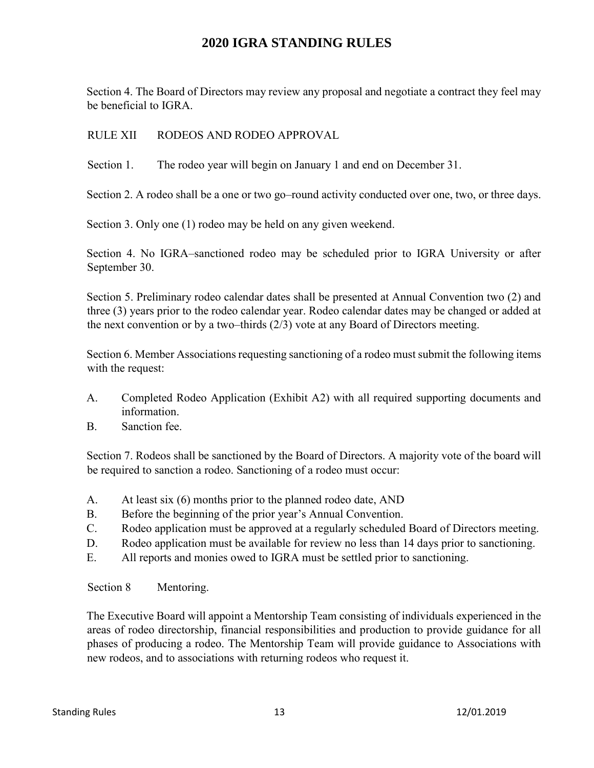Section 4. The Board of Directors may review any proposal and negotiate a contract they feel may be beneficial to IGRA.

### RULE XII RODEOS AND RODEO APPROVAL

Section 1. The rodeo year will begin on January 1 and end on December 31.

Section 2. A rodeo shall be a one or two go–round activity conducted over one, two, or three days.

Section 3. Only one (1) rodeo may be held on any given weekend.

Section 4. No IGRA–sanctioned rodeo may be scheduled prior to IGRA University or after September 30.

Section 5. Preliminary rodeo calendar dates shall be presented at Annual Convention two (2) and three (3) years prior to the rodeo calendar year. Rodeo calendar dates may be changed or added at the next convention or by a two–thirds (2/3) vote at any Board of Directors meeting.

Section 6. Member Associations requesting sanctioning of a rodeo must submit the following items with the request:

- A. Completed Rodeo Application (Exhibit A2) with all required supporting documents and information.
- B. Sanction fee.

Section 7. Rodeos shall be sanctioned by the Board of Directors. A majority vote of the board will be required to sanction a rodeo. Sanctioning of a rodeo must occur:

- A. At least six (6) months prior to the planned rodeo date, AND
- B. Before the beginning of the prior year's Annual Convention.
- C. Rodeo application must be approved at a regularly scheduled Board of Directors meeting.
- D. Rodeo application must be available for review no less than 14 days prior to sanctioning.
- E. All reports and monies owed to IGRA must be settled prior to sanctioning.

Section 8 Mentoring.

The Executive Board will appoint a Mentorship Team consisting of individuals experienced in the areas of rodeo directorship, financial responsibilities and production to provide guidance for all phases of producing a rodeo. The Mentorship Team will provide guidance to Associations with new rodeos, and to associations with returning rodeos who request it.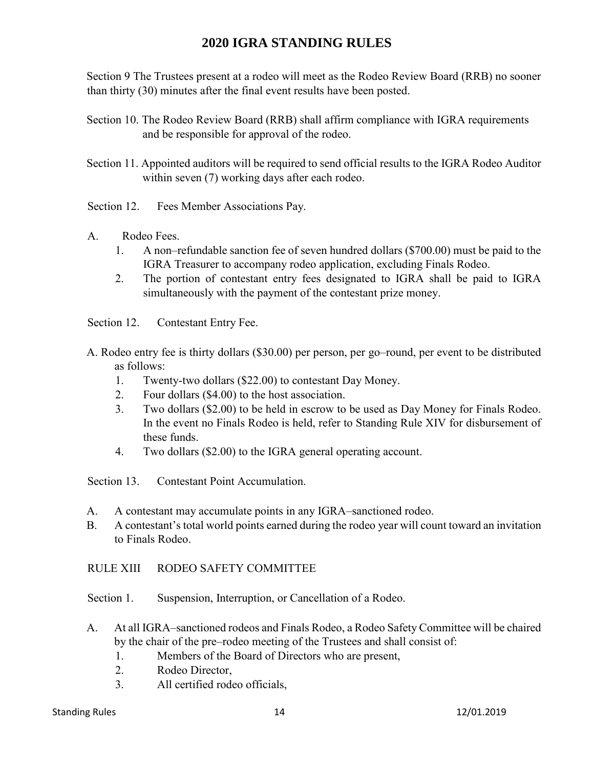Section 9 The Trustees present at a rodeo will meet as the Rodeo Review Board (RRB) no sooner than thirty (30) minutes after the final event results have been posted.

- Section 10. The Rodeo Review Board (RRB) shall affirm compliance with IGRA requirements and be responsible for approval of the rodeo.
- Section 11. Appointed auditors will be required to send official results to the IGRA Rodeo Auditor within seven (7) working days after each rodeo.
- Section 12. Fees Member Associations Pay.
- A. Rodeo Fees.
	- 1. A non–refundable sanction fee of seven hundred dollars (\$700.00) must be paid to the IGRA Treasurer to accompany rodeo application, excluding Finals Rodeo.
	- 2. The portion of contestant entry fees designated to IGRA shall be paid to IGRA simultaneously with the payment of the contestant prize money.

Section 12. Contestant Entry Fee.

- A. Rodeo entry fee is thirty dollars (\$30.00) per person, per go–round, per event to be distributed as follows:
	- 1. Twenty-two dollars (\$22.00) to contestant Day Money.
	- 2. Four dollars (\$4.00) to the host association.
	- 3. Two dollars (\$2.00) to be held in escrow to be used as Day Money for Finals Rodeo. In the event no Finals Rodeo is held, refer to Standing Rule XIV for disbursement of these funds.
	- 4. Two dollars (\$2.00) to the IGRA general operating account.

Section 13. Contestant Point Accumulation.

- A. A contestant may accumulate points in any IGRA–sanctioned rodeo.
- B. A contestant's total world points earned during the rodeo year will count toward an invitation to Finals Rodeo.

RULE XIII RODEO SAFETY COMMITTEE

Section 1. Suspension, Interruption, or Cancellation of a Rodeo.

- A. At all IGRA–sanctioned rodeos and Finals Rodeo, a Rodeo Safety Committee will be chaired by the chair of the pre–rodeo meeting of the Trustees and shall consist of:
	- 1. Members of the Board of Directors who are present,
	- 2. Rodeo Director,
	- 3. All certified rodeo officials,

#### Standing Rules 14 12/01.2019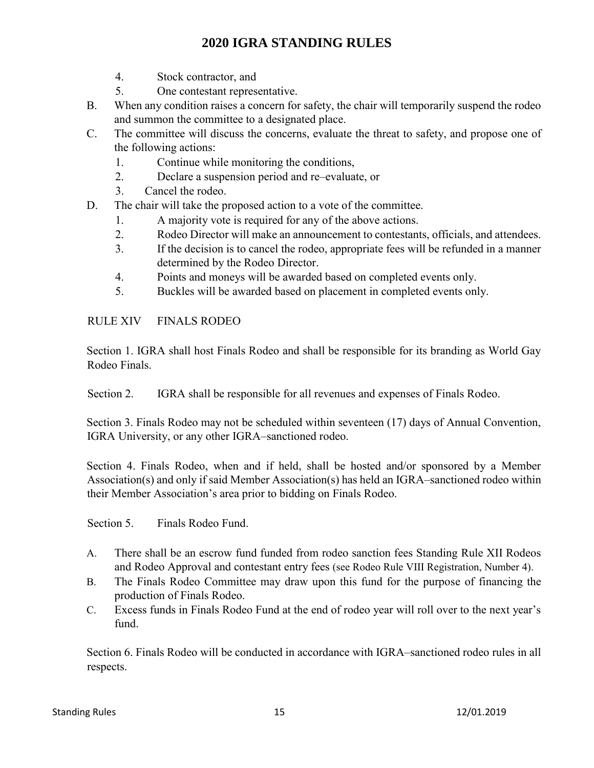- 4. Stock contractor, and
- 5. One contestant representative.
- B. When any condition raises a concern for safety, the chair will temporarily suspend the rodeo and summon the committee to a designated place.
- C. The committee will discuss the concerns, evaluate the threat to safety, and propose one of the following actions:
	- 1. Continue while monitoring the conditions,
	- 2. Declare a suspension period and re–evaluate, or
	- 3. Cancel the rodeo.
- D. The chair will take the proposed action to a vote of the committee.
	- 1. A majority vote is required for any of the above actions.
	- 2. Rodeo Director will make an announcement to contestants, officials, and attendees.
	- 3. If the decision is to cancel the rodeo, appropriate fees will be refunded in a manner determined by the Rodeo Director.
	- 4. Points and moneys will be awarded based on completed events only.
	- 5. Buckles will be awarded based on placement in completed events only.

### RULE XIV FINALS RODEO

Section 1. IGRA shall host Finals Rodeo and shall be responsible for its branding as World Gay Rodeo Finals.

Section 2. IGRA shall be responsible for all revenues and expenses of Finals Rodeo.

Section 3. Finals Rodeo may not be scheduled within seventeen (17) days of Annual Convention, IGRA University, or any other IGRA–sanctioned rodeo.

Section 4. Finals Rodeo, when and if held, shall be hosted and/or sponsored by a Member Association(s) and only if said Member Association(s) has held an IGRA–sanctioned rodeo within their Member Association's area prior to bidding on Finals Rodeo.

Section 5. Finals Rodeo Fund.

- A. There shall be an escrow fund funded from rodeo sanction fees Standing Rule XII Rodeos and Rodeo Approval and contestant entry fees (see Rodeo Rule VIII Registration, Number 4).
- B. The Finals Rodeo Committee may draw upon this fund for the purpose of financing the production of Finals Rodeo.
- C. Excess funds in Finals Rodeo Fund at the end of rodeo year will roll over to the next year's fund.

Section 6. Finals Rodeo will be conducted in accordance with IGRA–sanctioned rodeo rules in all respects.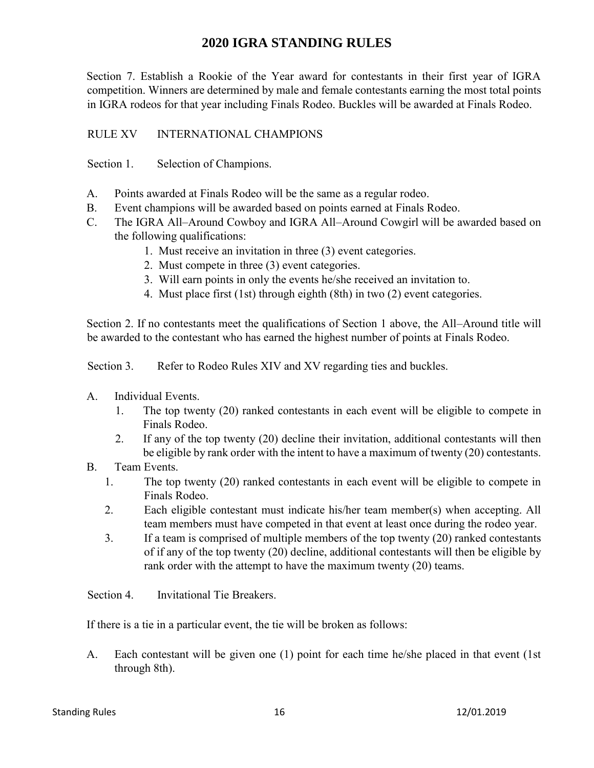Section 7. Establish a Rookie of the Year award for contestants in their first year of IGRA competition. Winners are determined by male and female contestants earning the most total points in IGRA rodeos for that year including Finals Rodeo. Buckles will be awarded at Finals Rodeo.

## RULE XV INTERNATIONAL CHAMPIONS

Section 1. Selection of Champions.

- A. Points awarded at Finals Rodeo will be the same as a regular rodeo.
- B. Event champions will be awarded based on points earned at Finals Rodeo.
- C. The IGRA All–Around Cowboy and IGRA All–Around Cowgirl will be awarded based on the following qualifications:
	- 1. Must receive an invitation in three (3) event categories.
	- 2. Must compete in three (3) event categories.
	- 3. Will earn points in only the events he/she received an invitation to.
	- 4. Must place first (1st) through eighth (8th) in two (2) event categories.

Section 2. If no contestants meet the qualifications of Section 1 above, the All–Around title will be awarded to the contestant who has earned the highest number of points at Finals Rodeo.

Section 3. Refer to Rodeo Rules XIV and XV regarding ties and buckles.

- A. Individual Events.
	- 1. The top twenty (20) ranked contestants in each event will be eligible to compete in Finals Rodeo.
	- 2. If any of the top twenty (20) decline their invitation, additional contestants will then be eligible by rank order with the intent to have a maximum of twenty (20) contestants.
- B. Team Events.
	- 1. The top twenty (20) ranked contestants in each event will be eligible to compete in Finals Rodeo.
	- 2. Each eligible contestant must indicate his/her team member(s) when accepting. All team members must have competed in that event at least once during the rodeo year.
	- 3. If a team is comprised of multiple members of the top twenty (20) ranked contestants of if any of the top twenty (20) decline, additional contestants will then be eligible by rank order with the attempt to have the maximum twenty (20) teams.

Section 4. Invitational Tie Breakers.

If there is a tie in a particular event, the tie will be broken as follows:

A. Each contestant will be given one (1) point for each time he/she placed in that event (1st through 8th).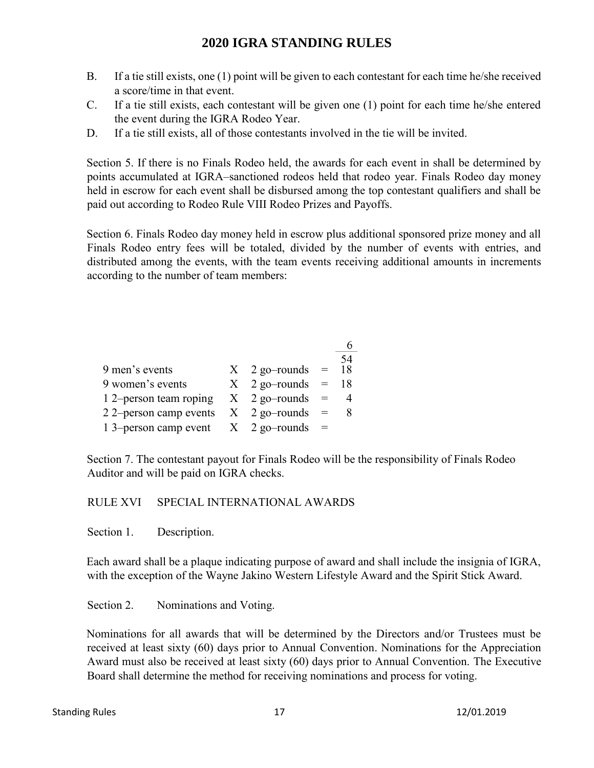- B. If a tie still exists, one (1) point will be given to each contestant for each time he/she received a score/time in that event.
- C. If a tie still exists, each contestant will be given one (1) point for each time he/she entered the event during the IGRA Rodeo Year.
- D. If a tie still exists, all of those contestants involved in the tie will be invited.

Section 5. If there is no Finals Rodeo held, the awards for each event in shall be determined by points accumulated at IGRA–sanctioned rodeos held that rodeo year. Finals Rodeo day money held in escrow for each event shall be disbursed among the top contestant qualifiers and shall be paid out according to Rodeo Rule VIII Rodeo Prizes and Payoffs.

Section 6. Finals Rodeo day money held in escrow plus additional sponsored prize money and all Finals Rodeo entry fees will be totaled, divided by the number of events with entries, and distributed among the events, with the team events receiving additional amounts in increments according to the number of team members:

|                                       |                         |     | 54 |
|---------------------------------------|-------------------------|-----|----|
| 9 men's events                        | $X \quad 2$ go-rounds = |     | 18 |
| 9 women's events                      | $X \quad 2$ go-rounds   | $=$ | 18 |
| 1 2–person team roping                | $X \quad 2$ go-rounds   |     |    |
| 2 2-person camp events                | $X \quad 2$ go-rounds   | $=$ |    |
| 1 3–person camp event $X$ 2 go–rounds |                         |     |    |

Section 7. The contestant payout for Finals Rodeo will be the responsibility of Finals Rodeo Auditor and will be paid on IGRA checks.

## RULE XVI SPECIAL INTERNATIONAL AWARDS

Section 1. Description.

Each award shall be a plaque indicating purpose of award and shall include the insignia of IGRA, with the exception of the Wayne Jakino Western Lifestyle Award and the Spirit Stick Award.

Section 2. Nominations and Voting.

Nominations for all awards that will be determined by the Directors and/or Trustees must be received at least sixty (60) days prior to Annual Convention. Nominations for the Appreciation Award must also be received at least sixty (60) days prior to Annual Convention. The Executive Board shall determine the method for receiving nominations and process for voting.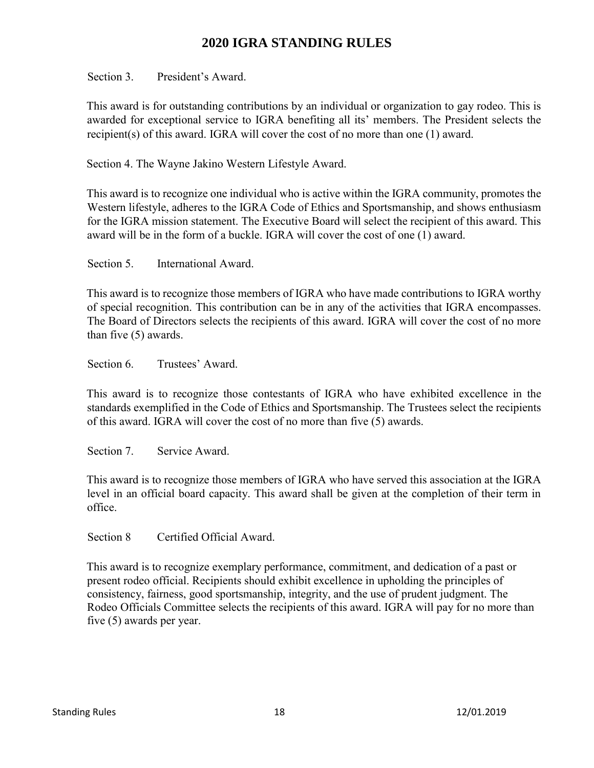Section 3. President's Award.

This award is for outstanding contributions by an individual or organization to gay rodeo. This is awarded for exceptional service to IGRA benefiting all its' members. The President selects the recipient(s) of this award. IGRA will cover the cost of no more than one  $(1)$  award.

Section 4. The Wayne Jakino Western Lifestyle Award.

This award is to recognize one individual who is active within the IGRA community, promotes the Western lifestyle, adheres to the IGRA Code of Ethics and Sportsmanship, and shows enthusiasm for the IGRA mission statement. The Executive Board will select the recipient of this award. This award will be in the form of a buckle. IGRA will cover the cost of one (1) award.

Section 5. International Award.

This award is to recognize those members of IGRA who have made contributions to IGRA worthy of special recognition. This contribution can be in any of the activities that IGRA encompasses. The Board of Directors selects the recipients of this award. IGRA will cover the cost of no more than five (5) awards.

Section 6. Trustees' Award.

This award is to recognize those contestants of IGRA who have exhibited excellence in the standards exemplified in the Code of Ethics and Sportsmanship. The Trustees select the recipients of this award. IGRA will cover the cost of no more than five (5) awards.

Section 7. Service Award.

This award is to recognize those members of IGRA who have served this association at the IGRA level in an official board capacity. This award shall be given at the completion of their term in office.

Section 8 Certified Official Award.

This award is to recognize exemplary performance, commitment, and dedication of a past or present rodeo official. Recipients should exhibit excellence in upholding the principles of consistency, fairness, good sportsmanship, integrity, and the use of prudent judgment. The Rodeo Officials Committee selects the recipients of this award. IGRA will pay for no more than five (5) awards per year.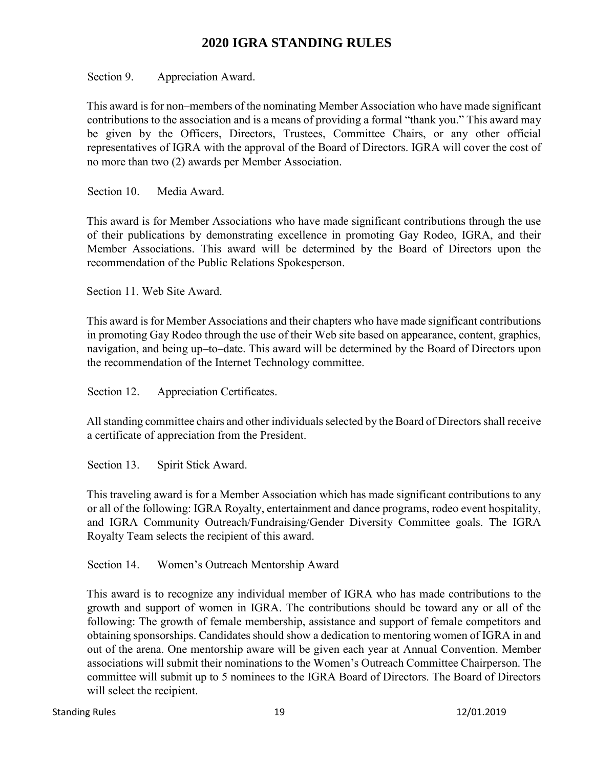Section 9. Appreciation Award.

This award is for non–members of the nominating Member Association who have made significant contributions to the association and is a means of providing a formal "thank you." This award may be given by the Officers, Directors, Trustees, Committee Chairs, or any other official representatives of IGRA with the approval of the Board of Directors. IGRA will cover the cost of no more than two (2) awards per Member Association.

Section 10. Media Award.

This award is for Member Associations who have made significant contributions through the use of their publications by demonstrating excellence in promoting Gay Rodeo, IGRA, and their Member Associations. This award will be determined by the Board of Directors upon the recommendation of the Public Relations Spokesperson.

Section 11. Web Site Award.

This award is for Member Associations and their chapters who have made significant contributions in promoting Gay Rodeo through the use of their Web site based on appearance, content, graphics, navigation, and being up–to–date. This award will be determined by the Board of Directors upon the recommendation of the Internet Technology committee.

Section 12. Appreciation Certificates.

All standing committee chairs and other individuals selected by the Board of Directors shall receive a certificate of appreciation from the President.

Section 13. Spirit Stick Award.

This traveling award is for a Member Association which has made significant contributions to any or all of the following: IGRA Royalty, entertainment and dance programs, rodeo event hospitality, and IGRA Community Outreach/Fundraising/Gender Diversity Committee goals. The IGRA Royalty Team selects the recipient of this award.

Section 14. Women's Outreach Mentorship Award

This award is to recognize any individual member of IGRA who has made contributions to the growth and support of women in IGRA. The contributions should be toward any or all of the following: The growth of female membership, assistance and support of female competitors and obtaining sponsorships. Candidates should show a dedication to mentoring women of IGRA in and out of the arena. One mentorship aware will be given each year at Annual Convention. Member associations will submit their nominations to the Women's Outreach Committee Chairperson. The committee will submit up to 5 nominees to the IGRA Board of Directors. The Board of Directors will select the recipient.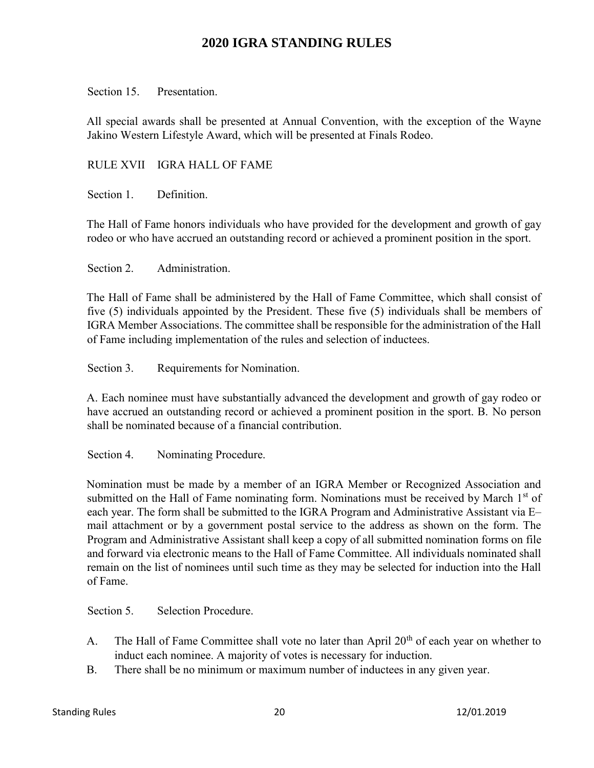Section 15. Presentation.

All special awards shall be presented at Annual Convention, with the exception of the Wayne Jakino Western Lifestyle Award, which will be presented at Finals Rodeo.

#### RULE XVII IGRA HALL OF FAME

Section 1. Definition.

The Hall of Fame honors individuals who have provided for the development and growth of gay rodeo or who have accrued an outstanding record or achieved a prominent position in the sport.

Section 2. Administration.

The Hall of Fame shall be administered by the Hall of Fame Committee, which shall consist of five (5) individuals appointed by the President. These five (5) individuals shall be members of IGRA Member Associations. The committee shall be responsible for the administration of the Hall of Fame including implementation of the rules and selection of inductees.

Section 3. Requirements for Nomination.

A. Each nominee must have substantially advanced the development and growth of gay rodeo or have accrued an outstanding record or achieved a prominent position in the sport. B. No person shall be nominated because of a financial contribution.

Section 4. Nominating Procedure.

Nomination must be made by a member of an IGRA Member or Recognized Association and submitted on the Hall of Fame nominating form. Nominations must be received by March  $1<sup>st</sup>$  of each year. The form shall be submitted to the IGRA Program and Administrative Assistant via E– mail attachment or by a government postal service to the address as shown on the form. The Program and Administrative Assistant shall keep a copy of all submitted nomination forms on file and forward via electronic means to the Hall of Fame Committee. All individuals nominated shall remain on the list of nominees until such time as they may be selected for induction into the Hall of Fame.

Section 5. Selection Procedure.

- A. The Hall of Fame Committee shall vote no later than April  $20<sup>th</sup>$  of each year on whether to induct each nominee. A majority of votes is necessary for induction.
- B. There shall be no minimum or maximum number of inductees in any given year.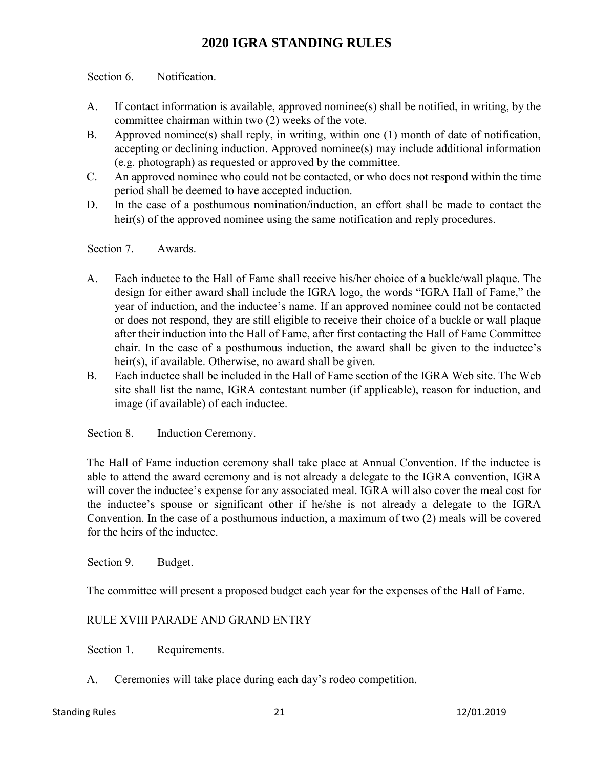Section 6. Notification.

- A. If contact information is available, approved nominee(s) shall be notified, in writing, by the committee chairman within two (2) weeks of the vote.
- B. Approved nominee(s) shall reply, in writing, within one (1) month of date of notification, accepting or declining induction. Approved nominee(s) may include additional information (e.g. photograph) as requested or approved by the committee.
- C. An approved nominee who could not be contacted, or who does not respond within the time period shall be deemed to have accepted induction.
- D. In the case of a posthumous nomination/induction, an effort shall be made to contact the heir(s) of the approved nominee using the same notification and reply procedures.

Section 7. Awards.

- A. Each inductee to the Hall of Fame shall receive his/her choice of a buckle/wall plaque. The design for either award shall include the IGRA logo, the words "IGRA Hall of Fame," the year of induction, and the inductee's name. If an approved nominee could not be contacted or does not respond, they are still eligible to receive their choice of a buckle or wall plaque after their induction into the Hall of Fame, after first contacting the Hall of Fame Committee chair. In the case of a posthumous induction, the award shall be given to the inductee's heir(s), if available. Otherwise, no award shall be given.
- B. Each inductee shall be included in the Hall of Fame section of the IGRA Web site. The Web site shall list the name, IGRA contestant number (if applicable), reason for induction, and image (if available) of each inductee.

Section 8. Induction Ceremony.

The Hall of Fame induction ceremony shall take place at Annual Convention. If the inductee is able to attend the award ceremony and is not already a delegate to the IGRA convention, IGRA will cover the inductee's expense for any associated meal. IGRA will also cover the meal cost for the inductee's spouse or significant other if he/she is not already a delegate to the IGRA Convention. In the case of a posthumous induction, a maximum of two (2) meals will be covered for the heirs of the inductee.

Section 9. Budget.

The committee will present a proposed budget each year for the expenses of the Hall of Fame.

#### RULE XVIII PARADE AND GRAND ENTRY

Section 1. Requirements.

A. Ceremonies will take place during each day's rodeo competition.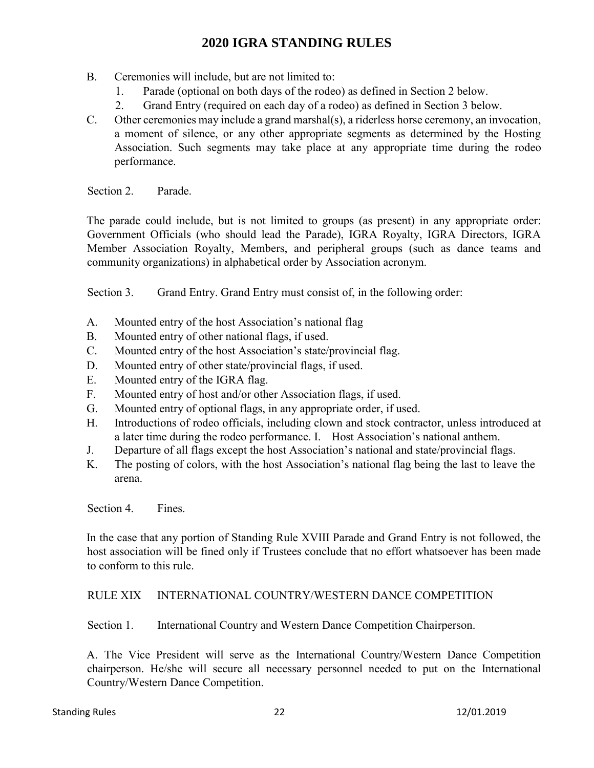- B. Ceremonies will include, but are not limited to:
	- 1. Parade (optional on both days of the rodeo) as defined in Section 2 below.
	- 2. Grand Entry (required on each day of a rodeo) as defined in Section 3 below.
- C. Other ceremonies may include a grand marshal(s), a riderless horse ceremony, an invocation, a moment of silence, or any other appropriate segments as determined by the Hosting Association. Such segments may take place at any appropriate time during the rodeo performance.

Section 2. Parade.

The parade could include, but is not limited to groups (as present) in any appropriate order: Government Officials (who should lead the Parade), IGRA Royalty, IGRA Directors, IGRA Member Association Royalty, Members, and peripheral groups (such as dance teams and community organizations) in alphabetical order by Association acronym.

Section 3. Grand Entry. Grand Entry must consist of, in the following order:

- A. Mounted entry of the host Association's national flag
- B. Mounted entry of other national flags, if used.
- C. Mounted entry of the host Association's state/provincial flag.
- D. Mounted entry of other state/provincial flags, if used.
- E. Mounted entry of the IGRA flag.
- F. Mounted entry of host and/or other Association flags, if used.
- G. Mounted entry of optional flags, in any appropriate order, if used.
- H. Introductions of rodeo officials, including clown and stock contractor, unless introduced at a later time during the rodeo performance. I. Host Association's national anthem.
- J. Departure of all flags except the host Association's national and state/provincial flags.
- K. The posting of colors, with the host Association's national flag being the last to leave the arena.

Section 4. Fines.

In the case that any portion of Standing Rule XVIII Parade and Grand Entry is not followed, the host association will be fined only if Trustees conclude that no effort whatsoever has been made to conform to this rule.

#### RULE XIX INTERNATIONAL COUNTRY/WESTERN DANCE COMPETITION

Section 1. International Country and Western Dance Competition Chairperson.

A. The Vice President will serve as the International Country/Western Dance Competition chairperson. He/she will secure all necessary personnel needed to put on the International Country/Western Dance Competition.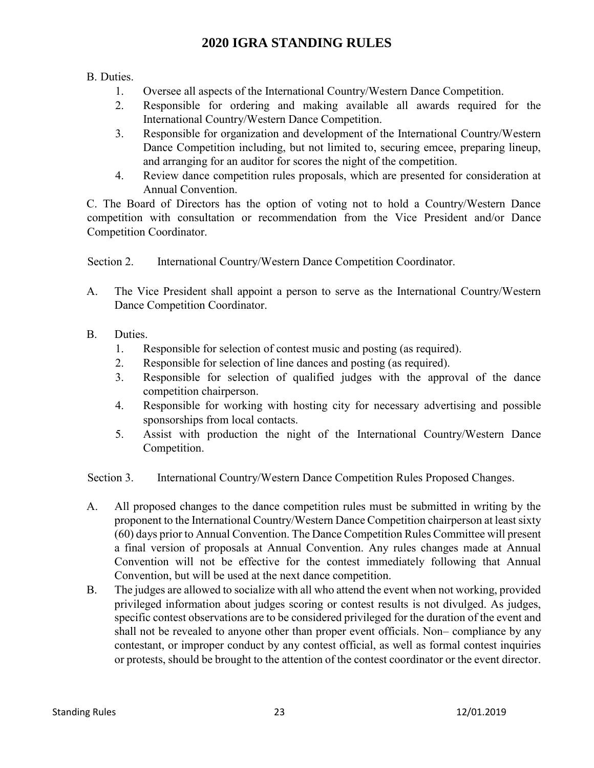B. Duties.

- 1. Oversee all aspects of the International Country/Western Dance Competition.
- 2. Responsible for ordering and making available all awards required for the International Country/Western Dance Competition.
- 3. Responsible for organization and development of the International Country/Western Dance Competition including, but not limited to, securing emcee, preparing lineup, and arranging for an auditor for scores the night of the competition.
- 4. Review dance competition rules proposals, which are presented for consideration at Annual Convention.

C. The Board of Directors has the option of voting not to hold a Country/Western Dance competition with consultation or recommendation from the Vice President and/or Dance Competition Coordinator.

Section 2. International Country/Western Dance Competition Coordinator.

- A. The Vice President shall appoint a person to serve as the International Country/Western Dance Competition Coordinator.
- B. Duties.
	- 1. Responsible for selection of contest music and posting (as required).
	- 2. Responsible for selection of line dances and posting (as required).
	- 3. Responsible for selection of qualified judges with the approval of the dance competition chairperson.
	- 4. Responsible for working with hosting city for necessary advertising and possible sponsorships from local contacts.
	- 5. Assist with production the night of the International Country/Western Dance Competition.

Section 3. International Country/Western Dance Competition Rules Proposed Changes.

- A. All proposed changes to the dance competition rules must be submitted in writing by the proponent to the International Country/Western Dance Competition chairperson at least sixty (60) days prior to Annual Convention. The Dance Competition Rules Committee will present a final version of proposals at Annual Convention. Any rules changes made at Annual Convention will not be effective for the contest immediately following that Annual Convention, but will be used at the next dance competition.
- B. The judges are allowed to socialize with all who attend the event when not working, provided privileged information about judges scoring or contest results is not divulged. As judges, specific contest observations are to be considered privileged for the duration of the event and shall not be revealed to anyone other than proper event officials. Non– compliance by any contestant, or improper conduct by any contest official, as well as formal contest inquiries or protests, should be brought to the attention of the contest coordinator or the event director.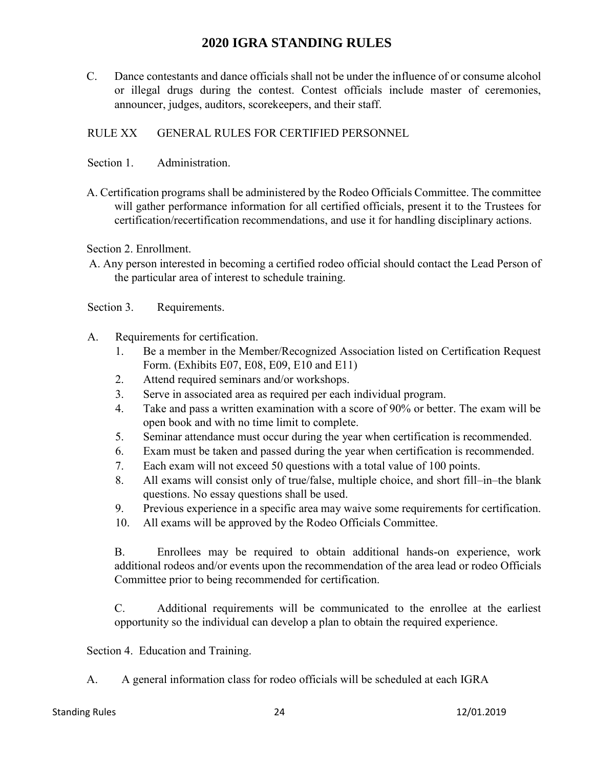C. Dance contestants and dance officials shall not be under the influence of or consume alcohol or illegal drugs during the contest. Contest officials include master of ceremonies, announcer, judges, auditors, scorekeepers, and their staff.

### RULE XX GENERAL RULES FOR CERTIFIED PERSONNEL

- Section 1. Administration.
- A. Certification programs shall be administered by the Rodeo Officials Committee. The committee will gather performance information for all certified officials, present it to the Trustees for certification/recertification recommendations, and use it for handling disciplinary actions.

Section 2. Enrollment.

A. Any person interested in becoming a certified rodeo official should contact the Lead Person of the particular area of interest to schedule training.

Section 3. Requirements.

- A. Requirements for certification.
	- 1. Be a member in the Member/Recognized Association listed on Certification Request Form. (Exhibits E07, E08, E09, E10 and E11)
	- 2. Attend required seminars and/or workshops.
	- 3. Serve in associated area as required per each individual program.
	- 4. Take and pass a written examination with a score of 90% or better. The exam will be open book and with no time limit to complete.
	- 5. Seminar attendance must occur during the year when certification is recommended.
	- 6. Exam must be taken and passed during the year when certification is recommended.
	- 7. Each exam will not exceed 50 questions with a total value of 100 points.
	- 8. All exams will consist only of true/false, multiple choice, and short fill–in–the blank questions. No essay questions shall be used.
	- 9. Previous experience in a specific area may waive some requirements for certification.
	- 10. All exams will be approved by the Rodeo Officials Committee.

B. Enrollees may be required to obtain additional hands-on experience, work additional rodeos and/or events upon the recommendation of the area lead or rodeo Officials Committee prior to being recommended for certification.

C. Additional requirements will be communicated to the enrollee at the earliest opportunity so the individual can develop a plan to obtain the required experience.

Section 4. Education and Training.

A. A general information class for rodeo officials will be scheduled at each IGRA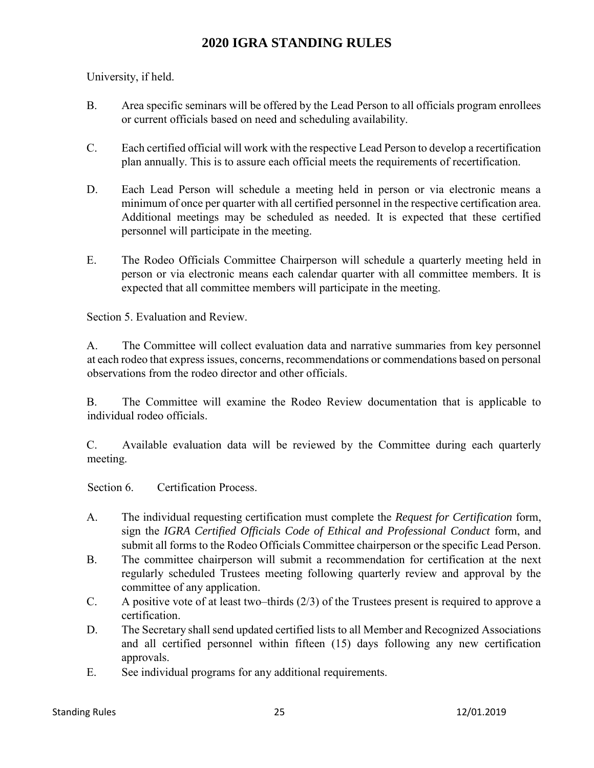University, if held.

- B. Area specific seminars will be offered by the Lead Person to all officials program enrollees or current officials based on need and scheduling availability.
- C. Each certified official will work with the respective Lead Person to develop a recertification plan annually. This is to assure each official meets the requirements of recertification.
- D. Each Lead Person will schedule a meeting held in person or via electronic means a minimum of once per quarter with all certified personnel in the respective certification area. Additional meetings may be scheduled as needed. It is expected that these certified personnel will participate in the meeting.
- E. The Rodeo Officials Committee Chairperson will schedule a quarterly meeting held in person or via electronic means each calendar quarter with all committee members. It is expected that all committee members will participate in the meeting.

Section 5. Evaluation and Review.

A. The Committee will collect evaluation data and narrative summaries from key personnel at each rodeo that express issues, concerns, recommendations or commendations based on personal observations from the rodeo director and other officials.

B. The Committee will examine the Rodeo Review documentation that is applicable to individual rodeo officials.

C. Available evaluation data will be reviewed by the Committee during each quarterly meeting.

Section 6. Certification Process.

- A. The individual requesting certification must complete the *Request for Certification* form, sign the *IGRA Certified Officials Code of Ethical and Professional Conduct* form, and submit all forms to the Rodeo Officials Committee chairperson or the specific Lead Person.
- B. The committee chairperson will submit a recommendation for certification at the next regularly scheduled Trustees meeting following quarterly review and approval by the committee of any application.
- C. A positive vote of at least two–thirds (2/3) of the Trustees present is required to approve a certification.
- D. The Secretary shall send updated certified lists to all Member and Recognized Associations and all certified personnel within fifteen (15) days following any new certification approvals.
- E. See individual programs for any additional requirements.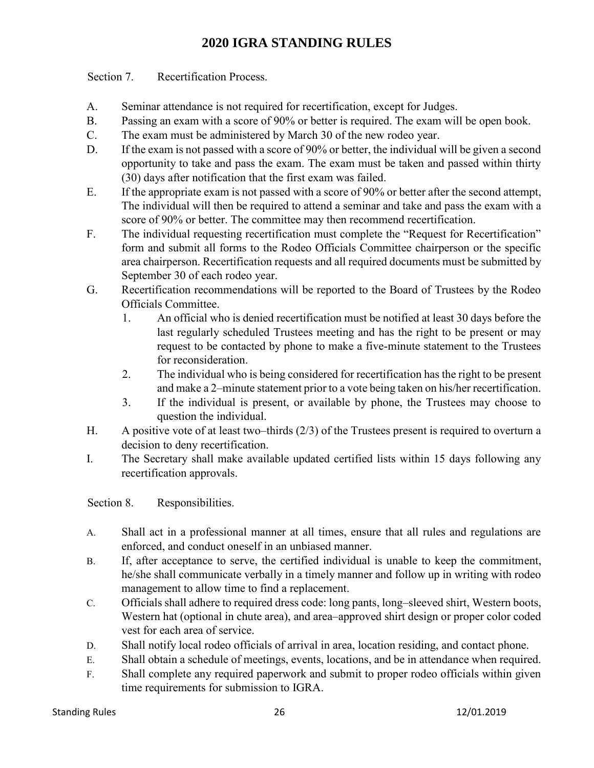Section 7. Recertification Process.

- A. Seminar attendance is not required for recertification, except for Judges.
- B. Passing an exam with a score of 90% or better is required. The exam will be open book.
- C. The exam must be administered by March 30 of the new rodeo year.
- D. If the exam is not passed with a score of 90% or better, the individual will be given a second opportunity to take and pass the exam. The exam must be taken and passed within thirty (30) days after notification that the first exam was failed.
- E. If the appropriate exam is not passed with a score of 90% or better after the second attempt, The individual will then be required to attend a seminar and take and pass the exam with a score of 90% or better. The committee may then recommend recertification.
- F. The individual requesting recertification must complete the "Request for Recertification" form and submit all forms to the Rodeo Officials Committee chairperson or the specific area chairperson. Recertification requests and all required documents must be submitted by September 30 of each rodeo year.
- G. Recertification recommendations will be reported to the Board of Trustees by the Rodeo Officials Committee.
	- 1. An official who is denied recertification must be notified at least 30 days before the last regularly scheduled Trustees meeting and has the right to be present or may request to be contacted by phone to make a five-minute statement to the Trustees for reconsideration.
	- 2. The individual who is being considered for recertification has the right to be present and make a 2–minute statement prior to a vote being taken on his/her recertification.
	- 3. If the individual is present, or available by phone, the Trustees may choose to question the individual.
- H. A positive vote of at least two–thirds (2/3) of the Trustees present is required to overturn a decision to deny recertification.
- I. The Secretary shall make available updated certified lists within 15 days following any recertification approvals.

Section 8. Responsibilities.

- A. Shall act in a professional manner at all times, ensure that all rules and regulations are enforced, and conduct oneself in an unbiased manner.
- B. If, after acceptance to serve, the certified individual is unable to keep the commitment, he/she shall communicate verbally in a timely manner and follow up in writing with rodeo management to allow time to find a replacement.
- C. Officials shall adhere to required dress code: long pants, long–sleeved shirt, Western boots, Western hat (optional in chute area), and area–approved shirt design or proper color coded vest for each area of service.
- D. Shall notify local rodeo officials of arrival in area, location residing, and contact phone.
- E. Shall obtain a schedule of meetings, events, locations, and be in attendance when required.
- F. Shall complete any required paperwork and submit to proper rodeo officials within given time requirements for submission to IGRA.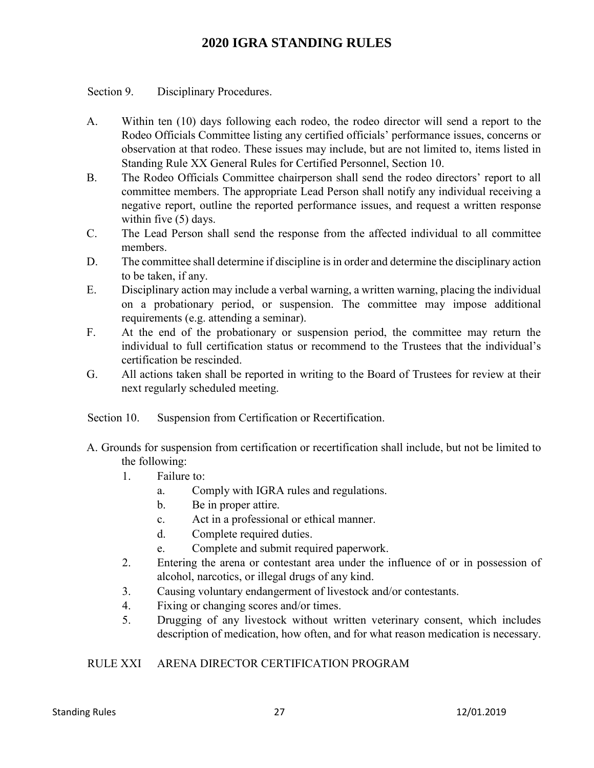Section 9. Disciplinary Procedures.

- A. Within ten (10) days following each rodeo, the rodeo director will send a report to the Rodeo Officials Committee listing any certified officials' performance issues, concerns or observation at that rodeo. These issues may include, but are not limited to, items listed in Standing Rule XX General Rules for Certified Personnel, Section 10.
- B. The Rodeo Officials Committee chairperson shall send the rodeo directors' report to all committee members. The appropriate Lead Person shall notify any individual receiving a negative report, outline the reported performance issues, and request a written response within five (5) days.
- C. The Lead Person shall send the response from the affected individual to all committee members.
- D. The committee shall determine if discipline is in order and determine the disciplinary action to be taken, if any.
- E. Disciplinary action may include a verbal warning, a written warning, placing the individual on a probationary period, or suspension. The committee may impose additional requirements (e.g. attending a seminar).
- F. At the end of the probationary or suspension period, the committee may return the individual to full certification status or recommend to the Trustees that the individual's certification be rescinded.
- G. All actions taken shall be reported in writing to the Board of Trustees for review at their next regularly scheduled meeting.

Section 10. Suspension from Certification or Recertification.

- A. Grounds for suspension from certification or recertification shall include, but not be limited to the following:
	- 1. Failure to:
		- a. Comply with IGRA rules and regulations.
		- b. Be in proper attire.
		- c. Act in a professional or ethical manner.
		- d. Complete required duties.
		- e. Complete and submit required paperwork.
	- 2. Entering the arena or contestant area under the influence of or in possession of alcohol, narcotics, or illegal drugs of any kind.
	- 3. Causing voluntary endangerment of livestock and/or contestants.
	- 4. Fixing or changing scores and/or times.
	- 5. Drugging of any livestock without written veterinary consent, which includes description of medication, how often, and for what reason medication is necessary.

### RULE XXI ARENA DIRECTOR CERTIFICATION PROGRAM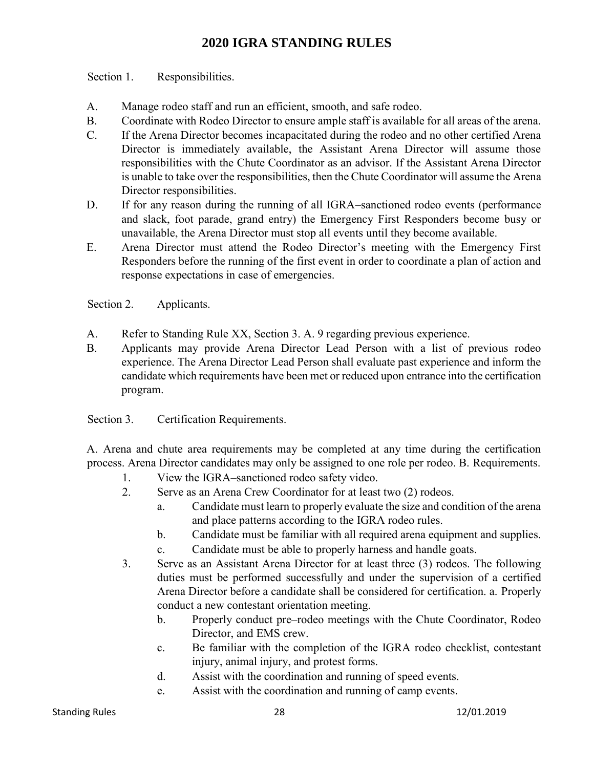Section 1. Responsibilities.

- A. Manage rodeo staff and run an efficient, smooth, and safe rodeo.
- B. Coordinate with Rodeo Director to ensure ample staff is available for all areas of the arena.
- C. If the Arena Director becomes incapacitated during the rodeo and no other certified Arena Director is immediately available, the Assistant Arena Director will assume those responsibilities with the Chute Coordinator as an advisor. If the Assistant Arena Director is unable to take over the responsibilities, then the Chute Coordinator will assume the Arena Director responsibilities.
- D. If for any reason during the running of all IGRA–sanctioned rodeo events (performance and slack, foot parade, grand entry) the Emergency First Responders become busy or unavailable, the Arena Director must stop all events until they become available.
- E. Arena Director must attend the Rodeo Director's meeting with the Emergency First Responders before the running of the first event in order to coordinate a plan of action and response expectations in case of emergencies.

Section 2. Applicants.

- A. Refer to Standing Rule XX, Section 3. A. 9 regarding previous experience.
- B. Applicants may provide Arena Director Lead Person with a list of previous rodeo experience. The Arena Director Lead Person shall evaluate past experience and inform the candidate which requirements have been met or reduced upon entrance into the certification program.

Section 3. Certification Requirements.

A. Arena and chute area requirements may be completed at any time during the certification process. Arena Director candidates may only be assigned to one role per rodeo. B. Requirements.

- 1. View the IGRA–sanctioned rodeo safety video.
- 2. Serve as an Arena Crew Coordinator for at least two (2) rodeos.
	- a. Candidate must learn to properly evaluate the size and condition of the arena and place patterns according to the IGRA rodeo rules.
	- b. Candidate must be familiar with all required arena equipment and supplies.
	- c. Candidate must be able to properly harness and handle goats.
- 3. Serve as an Assistant Arena Director for at least three (3) rodeos. The following duties must be performed successfully and under the supervision of a certified Arena Director before a candidate shall be considered for certification. a. Properly conduct a new contestant orientation meeting.
	- b. Properly conduct pre–rodeo meetings with the Chute Coordinator, Rodeo Director, and EMS crew.
	- c. Be familiar with the completion of the IGRA rodeo checklist, contestant injury, animal injury, and protest forms.
	- d. Assist with the coordination and running of speed events.
	- e. Assist with the coordination and running of camp events.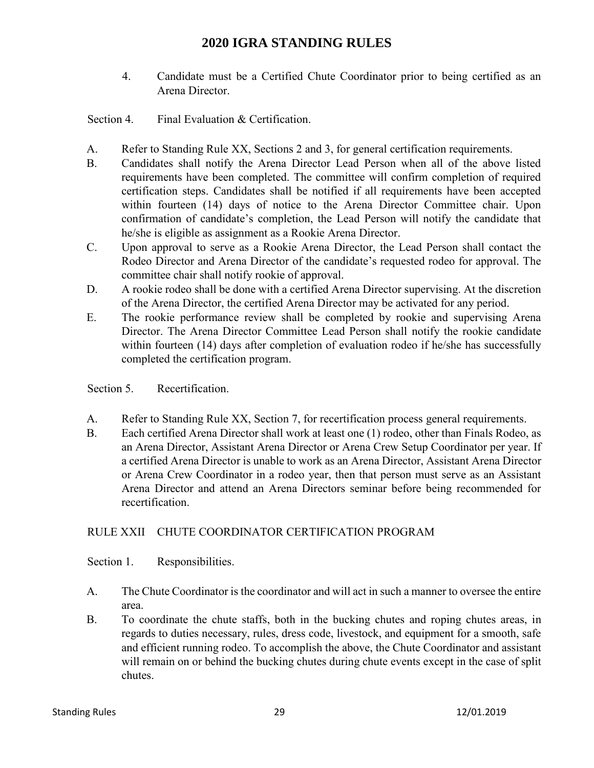- 4. Candidate must be a Certified Chute Coordinator prior to being certified as an Arena Director.
- Section 4. Final Evaluation & Certification.
- A. Refer to Standing Rule XX, Sections 2 and 3, for general certification requirements.
- B. Candidates shall notify the Arena Director Lead Person when all of the above listed requirements have been completed. The committee will confirm completion of required certification steps. Candidates shall be notified if all requirements have been accepted within fourteen (14) days of notice to the Arena Director Committee chair. Upon confirmation of candidate's completion, the Lead Person will notify the candidate that he/she is eligible as assignment as a Rookie Arena Director.
- C. Upon approval to serve as a Rookie Arena Director, the Lead Person shall contact the Rodeo Director and Arena Director of the candidate's requested rodeo for approval. The committee chair shall notify rookie of approval.
- D. A rookie rodeo shall be done with a certified Arena Director supervising. At the discretion of the Arena Director, the certified Arena Director may be activated for any period.
- E. The rookie performance review shall be completed by rookie and supervising Arena Director. The Arena Director Committee Lead Person shall notify the rookie candidate within fourteen (14) days after completion of evaluation rodeo if he/she has successfully completed the certification program.

Section 5. Recertification.

- A. Refer to Standing Rule XX, Section 7, for recertification process general requirements.
- B. Each certified Arena Director shall work at least one (1) rodeo, other than Finals Rodeo, as an Arena Director, Assistant Arena Director or Arena Crew Setup Coordinator per year. If a certified Arena Director is unable to work as an Arena Director, Assistant Arena Director or Arena Crew Coordinator in a rodeo year, then that person must serve as an Assistant Arena Director and attend an Arena Directors seminar before being recommended for recertification.

## RULE XXII CHUTE COORDINATOR CERTIFICATION PROGRAM

Section 1. Responsibilities.

- A. The Chute Coordinator is the coordinator and will act in such a manner to oversee the entire area.
- B. To coordinate the chute staffs, both in the bucking chutes and roping chutes areas, in regards to duties necessary, rules, dress code, livestock, and equipment for a smooth, safe and efficient running rodeo. To accomplish the above, the Chute Coordinator and assistant will remain on or behind the bucking chutes during chute events except in the case of split chutes.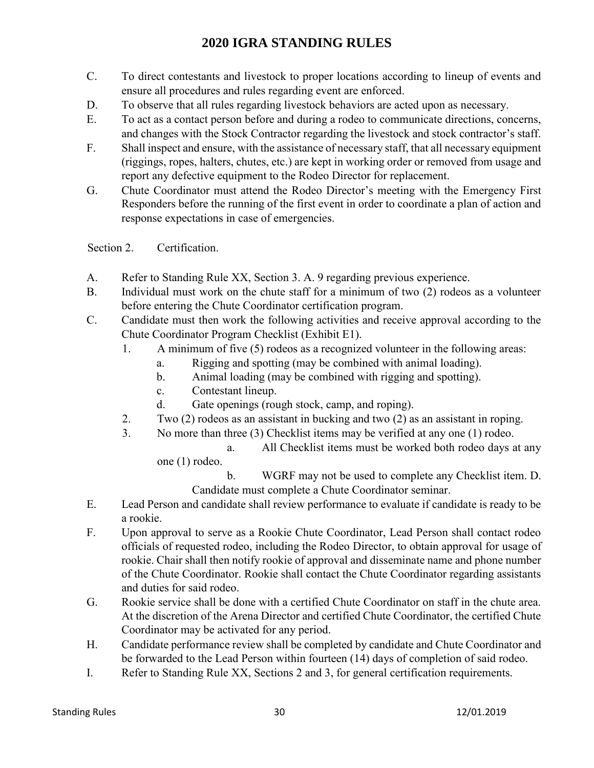- C. To direct contestants and livestock to proper locations according to lineup of events and ensure all procedures and rules regarding event are enforced.
- D. To observe that all rules regarding livestock behaviors are acted upon as necessary.
- E. To act as a contact person before and during a rodeo to communicate directions, concerns, and changes with the Stock Contractor regarding the livestock and stock contractor's staff.
- F. Shall inspect and ensure, with the assistance of necessary staff, that all necessary equipment (riggings, ropes, halters, chutes, etc.) are kept in working order or removed from usage and report any defective equipment to the Rodeo Director for replacement.
- G. Chute Coordinator must attend the Rodeo Director's meeting with the Emergency First Responders before the running of the first event in order to coordinate a plan of action and response expectations in case of emergencies.

Section 2. Certification.

- A. Refer to Standing Rule XX, Section 3. A. 9 regarding previous experience.
- B. Individual must work on the chute staff for a minimum of two (2) rodeos as a volunteer before entering the Chute Coordinator certification program.
- C. Candidate must then work the following activities and receive approval according to the Chute Coordinator Program Checklist (Exhibit E1).
	- 1. A minimum of five (5) rodeos as a recognized volunteer in the following areas:
		- a. Rigging and spotting (may be combined with animal loading).
		- b. Animal loading (may be combined with rigging and spotting).
		- c. Contestant lineup.
		- d. Gate openings (rough stock, camp, and roping).
	- 2. Two (2) rodeos as an assistant in bucking and two (2) as an assistant in roping.
	- 3. No more than three (3) Checklist items may be verified at any one (1) rodeo.

a. All Checklist items must be worked both rodeo days at any one (1) rodeo.

b. WGRF may not be used to complete any Checklist item. D. Candidate must complete a Chute Coordinator seminar.

- E. Lead Person and candidate shall review performance to evaluate if candidate is ready to be a rookie.
- F. Upon approval to serve as a Rookie Chute Coordinator, Lead Person shall contact rodeo officials of requested rodeo, including the Rodeo Director, to obtain approval for usage of rookie. Chair shall then notify rookie of approval and disseminate name and phone number of the Chute Coordinator. Rookie shall contact the Chute Coordinator regarding assistants and duties for said rodeo.
- G. Rookie service shall be done with a certified Chute Coordinator on staff in the chute area. At the discretion of the Arena Director and certified Chute Coordinator, the certified Chute Coordinator may be activated for any period.
- H. Candidate performance review shall be completed by candidate and Chute Coordinator and be forwarded to the Lead Person within fourteen (14) days of completion of said rodeo.
- I. Refer to Standing Rule XX, Sections 2 and 3, for general certification requirements.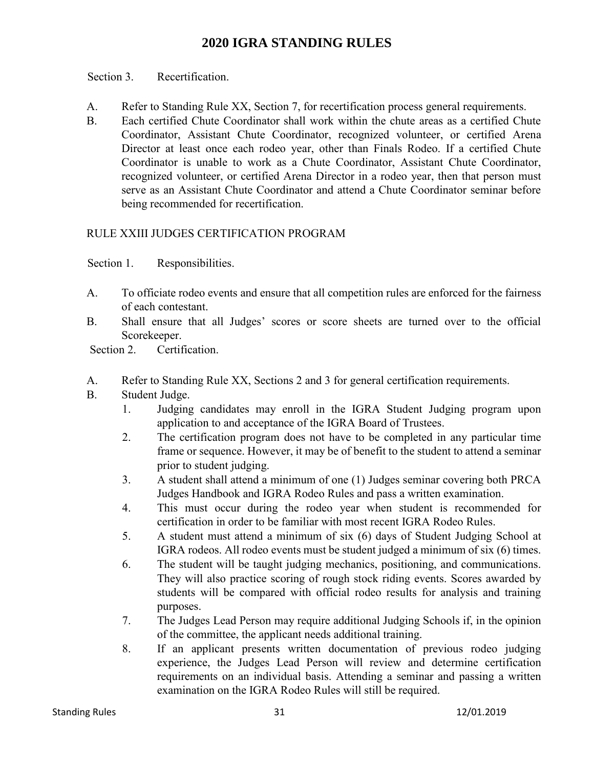Section 3. Recertification.

- A. Refer to Standing Rule XX, Section 7, for recertification process general requirements.
- B. Each certified Chute Coordinator shall work within the chute areas as a certified Chute Coordinator, Assistant Chute Coordinator, recognized volunteer, or certified Arena Director at least once each rodeo year, other than Finals Rodeo. If a certified Chute Coordinator is unable to work as a Chute Coordinator, Assistant Chute Coordinator, recognized volunteer, or certified Arena Director in a rodeo year, then that person must serve as an Assistant Chute Coordinator and attend a Chute Coordinator seminar before being recommended for recertification.

## RULE XXIII JUDGES CERTIFICATION PROGRAM

Section 1. Responsibilities.

- A. To officiate rodeo events and ensure that all competition rules are enforced for the fairness of each contestant.
- B. Shall ensure that all Judges' scores or score sheets are turned over to the official Scorekeeper.

Section 2. Certification.

- A. Refer to Standing Rule XX, Sections 2 and 3 for general certification requirements.
- B. Student Judge.
	- 1. Judging candidates may enroll in the IGRA Student Judging program upon application to and acceptance of the IGRA Board of Trustees.
	- 2. The certification program does not have to be completed in any particular time frame or sequence. However, it may be of benefit to the student to attend a seminar prior to student judging.
	- 3. A student shall attend a minimum of one (1) Judges seminar covering both PRCA Judges Handbook and IGRA Rodeo Rules and pass a written examination.
	- 4. This must occur during the rodeo year when student is recommended for certification in order to be familiar with most recent IGRA Rodeo Rules.
	- 5. A student must attend a minimum of six (6) days of Student Judging School at IGRA rodeos. All rodeo events must be student judged a minimum of six (6) times.
	- 6. The student will be taught judging mechanics, positioning, and communications. They will also practice scoring of rough stock riding events. Scores awarded by students will be compared with official rodeo results for analysis and training purposes.
	- 7. The Judges Lead Person may require additional Judging Schools if, in the opinion of the committee, the applicant needs additional training.
	- 8. If an applicant presents written documentation of previous rodeo judging experience, the Judges Lead Person will review and determine certification requirements on an individual basis. Attending a seminar and passing a written examination on the IGRA Rodeo Rules will still be required.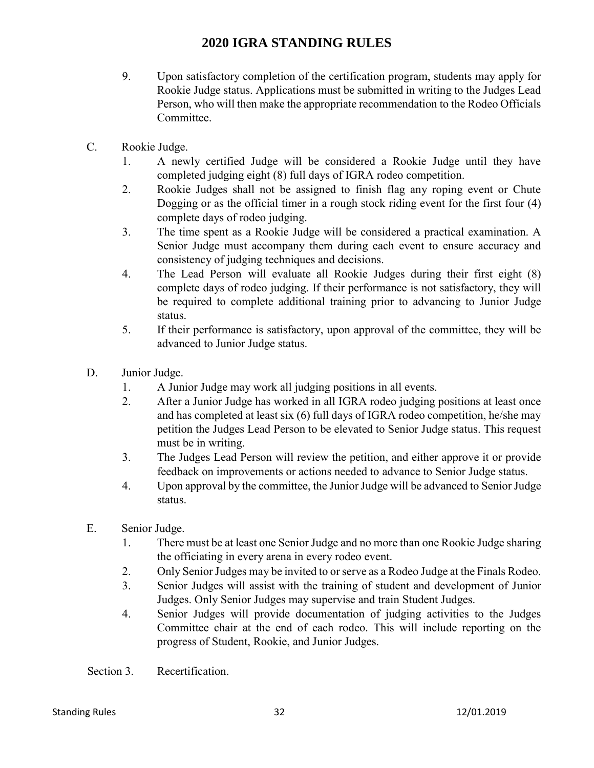- 9. Upon satisfactory completion of the certification program, students may apply for Rookie Judge status. Applications must be submitted in writing to the Judges Lead Person, who will then make the appropriate recommendation to the Rodeo Officials Committee.
- C. Rookie Judge.
	- 1. A newly certified Judge will be considered a Rookie Judge until they have completed judging eight (8) full days of IGRA rodeo competition.
	- 2. Rookie Judges shall not be assigned to finish flag any roping event or Chute Dogging or as the official timer in a rough stock riding event for the first four (4) complete days of rodeo judging.
	- 3. The time spent as a Rookie Judge will be considered a practical examination. A Senior Judge must accompany them during each event to ensure accuracy and consistency of judging techniques and decisions.
	- 4. The Lead Person will evaluate all Rookie Judges during their first eight (8) complete days of rodeo judging. If their performance is not satisfactory, they will be required to complete additional training prior to advancing to Junior Judge status.
	- 5. If their performance is satisfactory, upon approval of the committee, they will be advanced to Junior Judge status.
- D. Junior Judge.
	- 1. A Junior Judge may work all judging positions in all events.
	- 2. After a Junior Judge has worked in all IGRA rodeo judging positions at least once and has completed at least six (6) full days of IGRA rodeo competition, he/she may petition the Judges Lead Person to be elevated to Senior Judge status. This request must be in writing.
	- 3. The Judges Lead Person will review the petition, and either approve it or provide feedback on improvements or actions needed to advance to Senior Judge status.
	- 4. Upon approval by the committee, the Junior Judge will be advanced to Senior Judge status.
- E. Senior Judge.
	- 1. There must be at least one Senior Judge and no more than one Rookie Judge sharing the officiating in every arena in every rodeo event.
	- 2. Only Senior Judges may be invited to or serve as a Rodeo Judge at the Finals Rodeo.
	- 3. Senior Judges will assist with the training of student and development of Junior Judges. Only Senior Judges may supervise and train Student Judges.
	- 4. Senior Judges will provide documentation of judging activities to the Judges Committee chair at the end of each rodeo. This will include reporting on the progress of Student, Rookie, and Junior Judges.

Section 3. Recertification.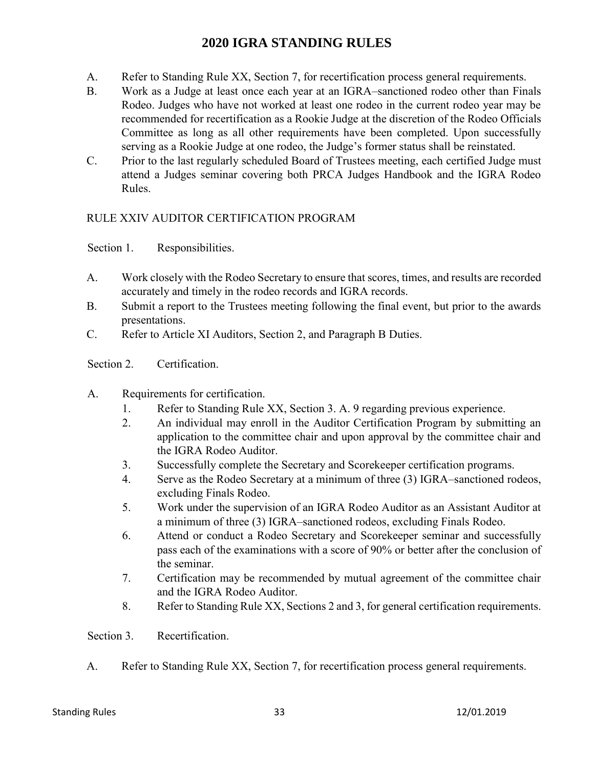- A. Refer to Standing Rule XX, Section 7, for recertification process general requirements.
- B. Work as a Judge at least once each year at an IGRA–sanctioned rodeo other than Finals Rodeo. Judges who have not worked at least one rodeo in the current rodeo year may be recommended for recertification as a Rookie Judge at the discretion of the Rodeo Officials Committee as long as all other requirements have been completed. Upon successfully serving as a Rookie Judge at one rodeo, the Judge's former status shall be reinstated.
- C. Prior to the last regularly scheduled Board of Trustees meeting, each certified Judge must attend a Judges seminar covering both PRCA Judges Handbook and the IGRA Rodeo Rules.

### RULE XXIV AUDITOR CERTIFICATION PROGRAM

Section 1. Responsibilities.

- A. Work closely with the Rodeo Secretary to ensure that scores, times, and results are recorded accurately and timely in the rodeo records and IGRA records.
- B. Submit a report to the Trustees meeting following the final event, but prior to the awards presentations.
- C. Refer to Article XI Auditors, Section 2, and Paragraph B Duties.
- Section 2. Certification.
- A. Requirements for certification.
	- 1. Refer to Standing Rule XX, Section 3. A. 9 regarding previous experience.
	- 2. An individual may enroll in the Auditor Certification Program by submitting an application to the committee chair and upon approval by the committee chair and the IGRA Rodeo Auditor.
	- 3. Successfully complete the Secretary and Scorekeeper certification programs.
	- 4. Serve as the Rodeo Secretary at a minimum of three (3) IGRA–sanctioned rodeos, excluding Finals Rodeo.
	- 5. Work under the supervision of an IGRA Rodeo Auditor as an Assistant Auditor at a minimum of three (3) IGRA–sanctioned rodeos, excluding Finals Rodeo.
	- 6. Attend or conduct a Rodeo Secretary and Scorekeeper seminar and successfully pass each of the examinations with a score of 90% or better after the conclusion of the seminar.
	- 7. Certification may be recommended by mutual agreement of the committee chair and the IGRA Rodeo Auditor.
	- 8. Refer to Standing Rule XX, Sections 2 and 3, for general certification requirements.

Section 3. Recertification.

A. Refer to Standing Rule XX, Section 7, for recertification process general requirements.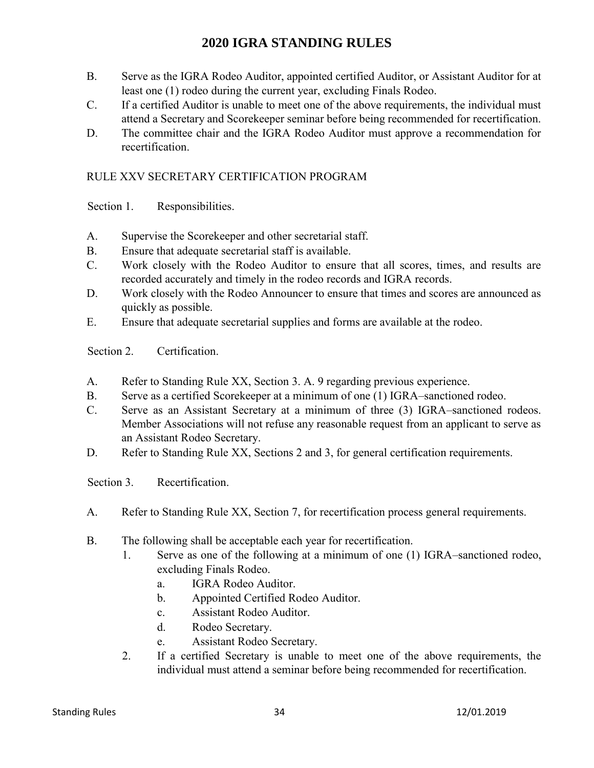- B. Serve as the IGRA Rodeo Auditor, appointed certified Auditor, or Assistant Auditor for at least one (1) rodeo during the current year, excluding Finals Rodeo.
- C. If a certified Auditor is unable to meet one of the above requirements, the individual must attend a Secretary and Scorekeeper seminar before being recommended for recertification.
- D. The committee chair and the IGRA Rodeo Auditor must approve a recommendation for recertification.

## RULE XXV SECRETARY CERTIFICATION PROGRAM

Section 1. Responsibilities.

- A. Supervise the Scorekeeper and other secretarial staff.
- B. Ensure that adequate secretarial staff is available.
- C. Work closely with the Rodeo Auditor to ensure that all scores, times, and results are recorded accurately and timely in the rodeo records and IGRA records.
- D. Work closely with the Rodeo Announcer to ensure that times and scores are announced as quickly as possible.
- E. Ensure that adequate secretarial supplies and forms are available at the rodeo.

Section 2. Certification.

- A. Refer to Standing Rule XX, Section 3. A. 9 regarding previous experience.
- B. Serve as a certified Scorekeeper at a minimum of one (1) IGRA–sanctioned rodeo.
- C. Serve as an Assistant Secretary at a minimum of three (3) IGRA–sanctioned rodeos. Member Associations will not refuse any reasonable request from an applicant to serve as an Assistant Rodeo Secretary.
- D. Refer to Standing Rule XX, Sections 2 and 3, for general certification requirements.

Section 3. Recertification.

- A. Refer to Standing Rule XX, Section 7, for recertification process general requirements.
- B. The following shall be acceptable each year for recertification.
	- 1. Serve as one of the following at a minimum of one (1) IGRA–sanctioned rodeo, excluding Finals Rodeo.
		- a. IGRA Rodeo Auditor.
		- b. Appointed Certified Rodeo Auditor.
		- c. Assistant Rodeo Auditor.
		- d. Rodeo Secretary.
		- e. Assistant Rodeo Secretary.
	- 2. If a certified Secretary is unable to meet one of the above requirements, the individual must attend a seminar before being recommended for recertification.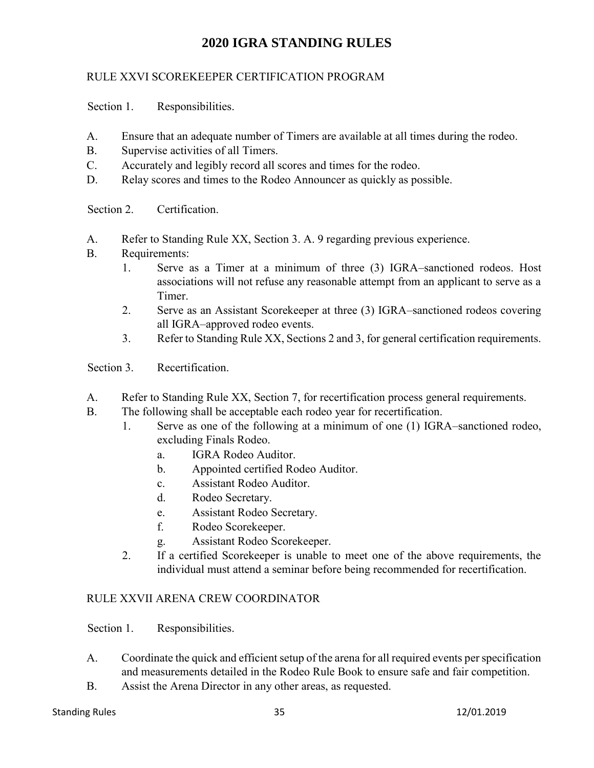## RULE XXVI SCOREKEEPER CERTIFICATION PROGRAM

Section 1. Responsibilities.

- A. Ensure that an adequate number of Timers are available at all times during the rodeo.
- B. Supervise activities of all Timers.
- C. Accurately and legibly record all scores and times for the rodeo.
- D. Relay scores and times to the Rodeo Announcer as quickly as possible.

Section 2. Certification.

- A. Refer to Standing Rule XX, Section 3. A. 9 regarding previous experience.
- B. Requirements:
	- 1. Serve as a Timer at a minimum of three (3) IGRA–sanctioned rodeos. Host associations will not refuse any reasonable attempt from an applicant to serve as a Timer.
	- 2. Serve as an Assistant Scorekeeper at three (3) IGRA–sanctioned rodeos covering all IGRA–approved rodeo events.
	- 3. Refer to Standing Rule XX, Sections 2 and 3, for general certification requirements.
- Section 3. Recertification.
- A. Refer to Standing Rule XX, Section 7, for recertification process general requirements.
- B. The following shall be acceptable each rodeo year for recertification.
	- 1. Serve as one of the following at a minimum of one (1) IGRA–sanctioned rodeo, excluding Finals Rodeo.
		- a. IGRA Rodeo Auditor.
		- b. Appointed certified Rodeo Auditor.
		- c. Assistant Rodeo Auditor.
		- d. Rodeo Secretary.
		- e. Assistant Rodeo Secretary.
		- f. Rodeo Scorekeeper.
		- g. Assistant Rodeo Scorekeeper.
	- 2. If a certified Scorekeeper is unable to meet one of the above requirements, the individual must attend a seminar before being recommended for recertification.

### RULE XXVII ARENA CREW COORDINATOR

Section 1. Responsibilities.

- A. Coordinate the quick and efficient setup of the arena for all required events per specification and measurements detailed in the Rodeo Rule Book to ensure safe and fair competition.
- B. Assist the Arena Director in any other areas, as requested.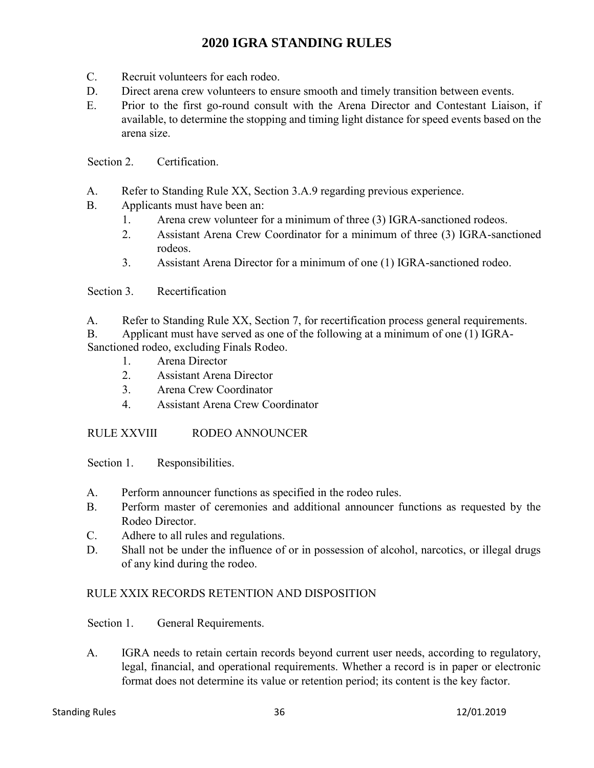- C. Recruit volunteers for each rodeo.
- D. Direct arena crew volunteers to ensure smooth and timely transition between events.
- E. Prior to the first go-round consult with the Arena Director and Contestant Liaison, if available, to determine the stopping and timing light distance for speed events based on the arena size.

Section 2. Certification.

- A. Refer to Standing Rule XX, Section 3.A.9 regarding previous experience.
- B. Applicants must have been an:
	- 1. Arena crew volunteer for a minimum of three (3) IGRA-sanctioned rodeos.
	- 2. Assistant Arena Crew Coordinator for a minimum of three (3) IGRA-sanctioned rodeos.
	- 3. Assistant Arena Director for a minimum of one (1) IGRA-sanctioned rodeo.

Section 3. Recertification

A. Refer to Standing Rule XX, Section 7, for recertification process general requirements.

B. Applicant must have served as one of the following at a minimum of one (1) IGRA- Sanctioned rodeo, excluding Finals Rodeo.

- 1. Arena Director
- 2. Assistant Arena Director
- 3. Arena Crew Coordinator
- 4. Assistant Arena Crew Coordinator

### RULE XXVIII RODEO ANNOUNCER

Section 1. Responsibilities.

- A. Perform announcer functions as specified in the rodeo rules.
- B. Perform master of ceremonies and additional announcer functions as requested by the Rodeo Director.
- C. Adhere to all rules and regulations.
- D. Shall not be under the influence of or in possession of alcohol, narcotics, or illegal drugs of any kind during the rodeo.

### RULE XXIX RECORDS RETENTION AND DISPOSITION

Section 1. General Requirements.

A. IGRA needs to retain certain records beyond current user needs, according to regulatory, legal, financial, and operational requirements. Whether a record is in paper or electronic format does not determine its value or retention period; its content is the key factor.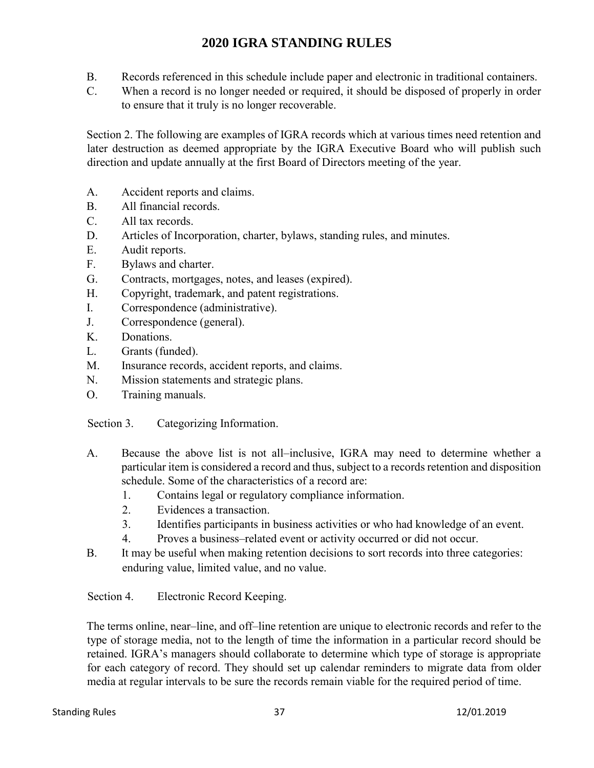- B. Records referenced in this schedule include paper and electronic in traditional containers.
- C. When a record is no longer needed or required, it should be disposed of properly in order to ensure that it truly is no longer recoverable.

Section 2. The following are examples of IGRA records which at various times need retention and later destruction as deemed appropriate by the IGRA Executive Board who will publish such direction and update annually at the first Board of Directors meeting of the year.

- A. Accident reports and claims.
- B. All financial records.
- C. All tax records.
- D. Articles of Incorporation, charter, bylaws, standing rules, and minutes.
- E. Audit reports.
- F. Bylaws and charter.
- G. Contracts, mortgages, notes, and leases (expired).
- H. Copyright, trademark, and patent registrations.
- I. Correspondence (administrative).
- J. Correspondence (general).
- K. Donations.
- L. Grants (funded).
- M. Insurance records, accident reports, and claims.
- N. Mission statements and strategic plans.
- O. Training manuals.

Section 3. Categorizing Information.

- A. Because the above list is not all–inclusive, IGRA may need to determine whether a particular item is considered a record and thus, subject to a records retention and disposition schedule. Some of the characteristics of a record are:
	- 1. Contains legal or regulatory compliance information.
	- 2. Evidences a transaction.
	- 3. Identifies participants in business activities or who had knowledge of an event.
	- 4. Proves a business–related event or activity occurred or did not occur.
- B. It may be useful when making retention decisions to sort records into three categories: enduring value, limited value, and no value.

Section 4. Electronic Record Keeping.

The terms online, near–line, and off–line retention are unique to electronic records and refer to the type of storage media, not to the length of time the information in a particular record should be retained. IGRA's managers should collaborate to determine which type of storage is appropriate for each category of record. They should set up calendar reminders to migrate data from older media at regular intervals to be sure the records remain viable for the required period of time.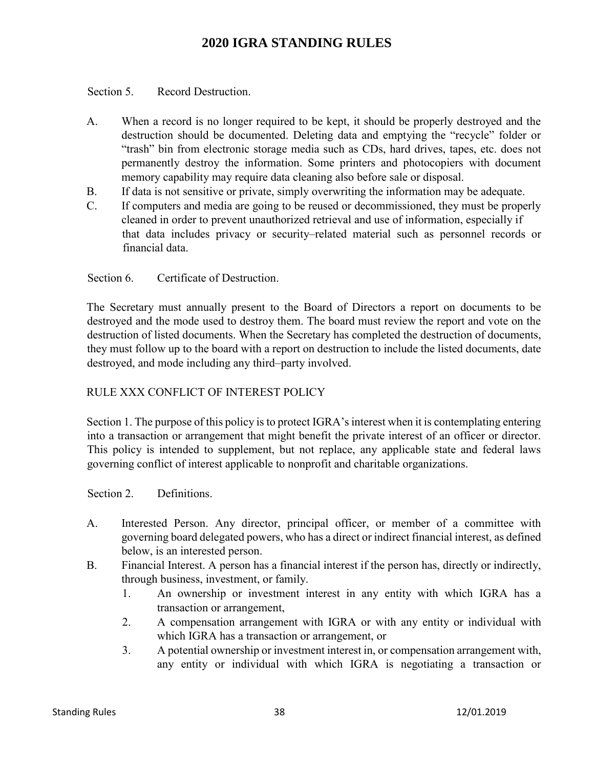Section 5. Record Destruction.

- A. When a record is no longer required to be kept, it should be properly destroyed and the destruction should be documented. Deleting data and emptying the "recycle" folder or "trash" bin from electronic storage media such as CDs, hard drives, tapes, etc. does not permanently destroy the information. Some printers and photocopiers with document memory capability may require data cleaning also before sale or disposal.
- B. If data is not sensitive or private, simply overwriting the information may be adequate.
- C. If computers and media are going to be reused or decommissioned, they must be properly cleaned in order to prevent unauthorized retrieval and use of information, especially if that data includes privacy or security–related material such as personnel records or financial data.

Section 6. Certificate of Destruction.

The Secretary must annually present to the Board of Directors a report on documents to be destroyed and the mode used to destroy them. The board must review the report and vote on the destruction of listed documents. When the Secretary has completed the destruction of documents, they must follow up to the board with a report on destruction to include the listed documents, date destroyed, and mode including any third–party involved.

### RULE XXX CONFLICT OF INTEREST POLICY

Section 1. The purpose of this policy is to protect IGRA's interest when it is contemplating entering into a transaction or arrangement that might benefit the private interest of an officer or director. This policy is intended to supplement, but not replace, any applicable state and federal laws governing conflict of interest applicable to nonprofit and charitable organizations.

Section 2. Definitions.

- A. Interested Person. Any director, principal officer, or member of a committee with governing board delegated powers, who has a direct or indirect financial interest, as defined below, is an interested person.
- B. Financial Interest. A person has a financial interest if the person has, directly or indirectly, through business, investment, or family.
	- 1. An ownership or investment interest in any entity with which IGRA has a transaction or arrangement,
	- 2. A compensation arrangement with IGRA or with any entity or individual with which IGRA has a transaction or arrangement, or
	- 3. A potential ownership or investment interest in, or compensation arrangement with, any entity or individual with which IGRA is negotiating a transaction or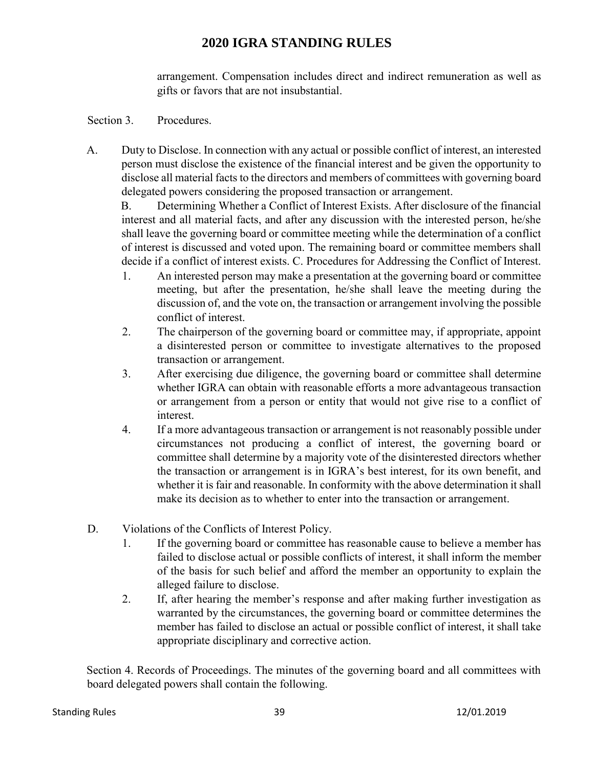arrangement. Compensation includes direct and indirect remuneration as well as gifts or favors that are not insubstantial.

### Section 3. Procedures.

A. Duty to Disclose. In connection with any actual or possible conflict of interest, an interested person must disclose the existence of the financial interest and be given the opportunity to disclose all material facts to the directors and members of committees with governing board delegated powers considering the proposed transaction or arrangement.

B. Determining Whether a Conflict of Interest Exists. After disclosure of the financial interest and all material facts, and after any discussion with the interested person, he/she shall leave the governing board or committee meeting while the determination of a conflict of interest is discussed and voted upon. The remaining board or committee members shall decide if a conflict of interest exists. C. Procedures for Addressing the Conflict of Interest.

- 1. An interested person may make a presentation at the governing board or committee meeting, but after the presentation, he/she shall leave the meeting during the discussion of, and the vote on, the transaction or arrangement involving the possible conflict of interest.
- 2. The chairperson of the governing board or committee may, if appropriate, appoint a disinterested person or committee to investigate alternatives to the proposed transaction or arrangement.
- 3. After exercising due diligence, the governing board or committee shall determine whether IGRA can obtain with reasonable efforts a more advantageous transaction or arrangement from a person or entity that would not give rise to a conflict of interest.
- 4. If a more advantageous transaction or arrangement is not reasonably possible under circumstances not producing a conflict of interest, the governing board or committee shall determine by a majority vote of the disinterested directors whether the transaction or arrangement is in IGRA's best interest, for its own benefit, and whether it is fair and reasonable. In conformity with the above determination it shall make its decision as to whether to enter into the transaction or arrangement.
- D. Violations of the Conflicts of Interest Policy.
	- 1. If the governing board or committee has reasonable cause to believe a member has failed to disclose actual or possible conflicts of interest, it shall inform the member of the basis for such belief and afford the member an opportunity to explain the alleged failure to disclose.
	- 2. If, after hearing the member's response and after making further investigation as warranted by the circumstances, the governing board or committee determines the member has failed to disclose an actual or possible conflict of interest, it shall take appropriate disciplinary and corrective action.

Section 4. Records of Proceedings. The minutes of the governing board and all committees with board delegated powers shall contain the following.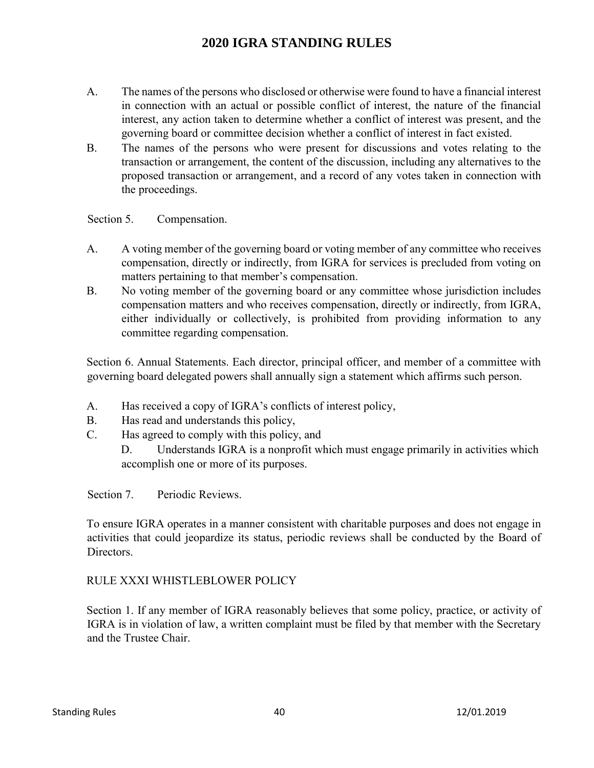- A. The names of the persons who disclosed or otherwise were found to have a financial interest in connection with an actual or possible conflict of interest, the nature of the financial interest, any action taken to determine whether a conflict of interest was present, and the governing board or committee decision whether a conflict of interest in fact existed.
- B. The names of the persons who were present for discussions and votes relating to the transaction or arrangement, the content of the discussion, including any alternatives to the proposed transaction or arrangement, and a record of any votes taken in connection with the proceedings.

Section 5. Compensation.

- A. A voting member of the governing board or voting member of any committee who receives compensation, directly or indirectly, from IGRA for services is precluded from voting on matters pertaining to that member's compensation.
- B. No voting member of the governing board or any committee whose jurisdiction includes compensation matters and who receives compensation, directly or indirectly, from IGRA, either individually or collectively, is prohibited from providing information to any committee regarding compensation.

Section 6. Annual Statements. Each director, principal officer, and member of a committee with governing board delegated powers shall annually sign a statement which affirms such person.

- A. Has received a copy of IGRA's conflicts of interest policy,
- B. Has read and understands this policy,
- C. Has agreed to comply with this policy, and
	- D. Understands IGRA is a nonprofit which must engage primarily in activities which accomplish one or more of its purposes.

Section 7. Periodic Reviews.

To ensure IGRA operates in a manner consistent with charitable purposes and does not engage in activities that could jeopardize its status, periodic reviews shall be conducted by the Board of Directors.

### RULE XXXI WHISTLEBLOWER POLICY

Section 1. If any member of IGRA reasonably believes that some policy, practice, or activity of IGRA is in violation of law, a written complaint must be filed by that member with the Secretary and the Trustee Chair.